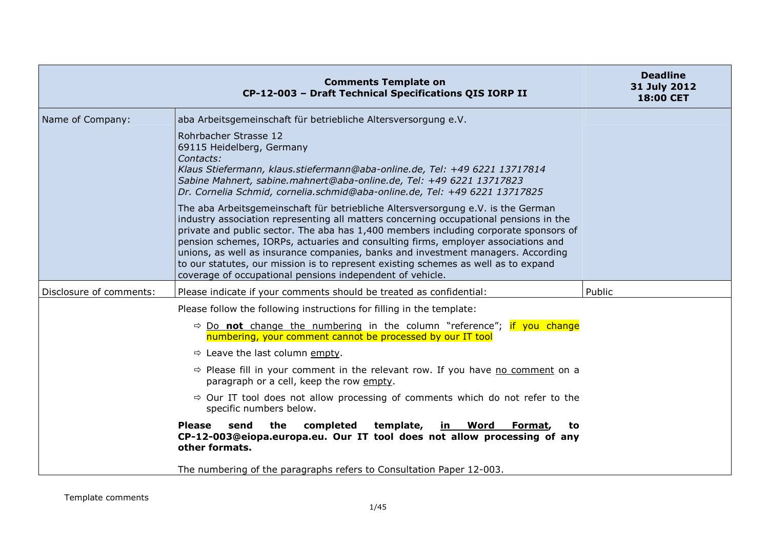|                         | <b>Comments Template on</b><br>CP-12-003 - Draft Technical Specifications QIS IORP II                                                                                                                                                                                                                                                                                                                                                                                                                                                                                                         | <b>Deadline</b><br>31 July 2012<br>18:00 CET |
|-------------------------|-----------------------------------------------------------------------------------------------------------------------------------------------------------------------------------------------------------------------------------------------------------------------------------------------------------------------------------------------------------------------------------------------------------------------------------------------------------------------------------------------------------------------------------------------------------------------------------------------|----------------------------------------------|
| Name of Company:        | aba Arbeitsgemeinschaft für betriebliche Altersversorgung e.V.                                                                                                                                                                                                                                                                                                                                                                                                                                                                                                                                |                                              |
|                         | Rohrbacher Strasse 12<br>69115 Heidelberg, Germany<br>Contacts:<br>Klaus Stiefermann, klaus.stiefermann@aba-online.de, Tel: +49 6221 13717814<br>Sabine Mahnert, sabine.mahnert@aba-online.de, Tel: +49 6221 13717823<br>Dr. Cornelia Schmid, cornelia.schmid@aba-online.de, Tel: +49 6221 13717825                                                                                                                                                                                                                                                                                           |                                              |
|                         | The aba Arbeitsgemeinschaft für betriebliche Altersversorgung e.V. is the German<br>industry association representing all matters concerning occupational pensions in the<br>private and public sector. The aba has 1,400 members including corporate sponsors of<br>pension schemes, IORPs, actuaries and consulting firms, employer associations and<br>unions, as well as insurance companies, banks and investment managers. According<br>to our statutes, our mission is to represent existing schemes as well as to expand<br>coverage of occupational pensions independent of vehicle. |                                              |
| Disclosure of comments: | Please indicate if your comments should be treated as confidential:                                                                                                                                                                                                                                                                                                                                                                                                                                                                                                                           | Public                                       |
|                         | Please follow the following instructions for filling in the template:                                                                                                                                                                                                                                                                                                                                                                                                                                                                                                                         |                                              |
|                         | $\Rightarrow$ Do <b>not</b> change the numbering in the column "reference"; if you change<br>numbering, your comment cannot be processed by our IT tool                                                                                                                                                                                                                                                                                                                                                                                                                                       |                                              |
|                         | $\Rightarrow$ Leave the last column empty.                                                                                                                                                                                                                                                                                                                                                                                                                                                                                                                                                    |                                              |
|                         | $\Rightarrow$ Please fill in your comment in the relevant row. If you have no comment on a<br>paragraph or a cell, keep the row empty.                                                                                                                                                                                                                                                                                                                                                                                                                                                        |                                              |
|                         | $\Rightarrow$ Our IT tool does not allow processing of comments which do not refer to the<br>specific numbers below.                                                                                                                                                                                                                                                                                                                                                                                                                                                                          |                                              |
|                         | <b>Please</b><br>the<br>completed<br>template,<br><u>in Word</u><br>send<br>Format,<br>to<br>CP-12-003@eiopa.europa.eu. Our IT tool does not allow processing of any<br>other formats.                                                                                                                                                                                                                                                                                                                                                                                                        |                                              |
|                         | The numbering of the paragraphs refers to Consultation Paper 12-003.                                                                                                                                                                                                                                                                                                                                                                                                                                                                                                                          |                                              |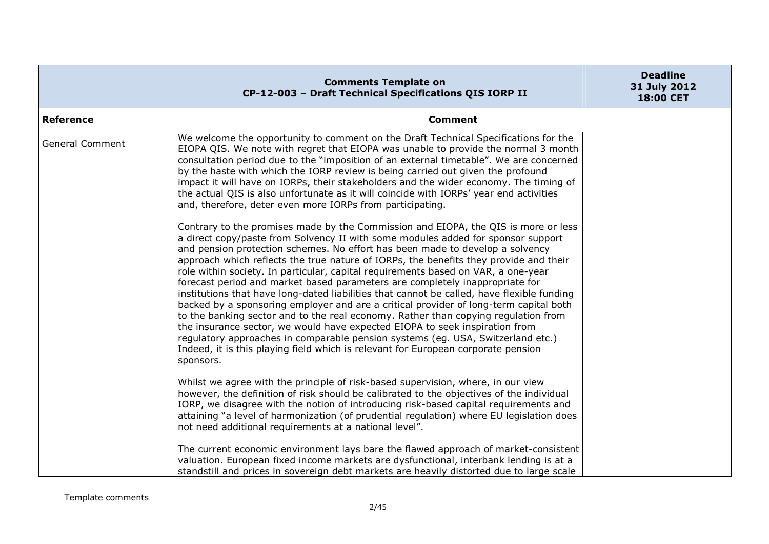|                        | <b>Comments Template on</b><br>CP-12-003 - Draft Technical Specifications QIS IORP II                                                                                                                                                                                                                                                                                                                                                                                                                                                                                                                                                                                                                                                                                                                                                                                                                                                                                                                                                                                  | <b>Deadline</b><br>31 July 2012<br><b>18:00 CET</b> |
|------------------------|------------------------------------------------------------------------------------------------------------------------------------------------------------------------------------------------------------------------------------------------------------------------------------------------------------------------------------------------------------------------------------------------------------------------------------------------------------------------------------------------------------------------------------------------------------------------------------------------------------------------------------------------------------------------------------------------------------------------------------------------------------------------------------------------------------------------------------------------------------------------------------------------------------------------------------------------------------------------------------------------------------------------------------------------------------------------|-----------------------------------------------------|
| Reference              | <b>Comment</b>                                                                                                                                                                                                                                                                                                                                                                                                                                                                                                                                                                                                                                                                                                                                                                                                                                                                                                                                                                                                                                                         |                                                     |
| <b>General Comment</b> | We welcome the opportunity to comment on the Draft Technical Specifications for the<br>EIOPA QIS. We note with regret that EIOPA was unable to provide the normal 3 month<br>consultation period due to the "imposition of an external timetable". We are concerned<br>by the haste with which the IORP review is being carried out given the profound<br>impact it will have on IORPs, their stakeholders and the wider economy. The timing of<br>the actual QIS is also unfortunate as it will coincide with IORPs' year end activities<br>and, therefore, deter even more IORPs from participating.                                                                                                                                                                                                                                                                                                                                                                                                                                                                 |                                                     |
|                        | Contrary to the promises made by the Commission and EIOPA, the QIS is more or less<br>a direct copy/paste from Solvency II with some modules added for sponsor support<br>and pension protection schemes. No effort has been made to develop a solvency<br>approach which reflects the true nature of IORPs, the benefits they provide and their<br>role within society. In particular, capital requirements based on VAR, a one-year<br>forecast period and market based parameters are completely inappropriate for<br>institutions that have long-dated liabilities that cannot be called, have flexible funding<br>backed by a sponsoring employer and are a critical provider of long-term capital both<br>to the banking sector and to the real economy. Rather than copying regulation from<br>the insurance sector, we would have expected EIOPA to seek inspiration from<br>regulatory approaches in comparable pension systems (eg. USA, Switzerland etc.)<br>Indeed, it is this playing field which is relevant for European corporate pension<br>sponsors. |                                                     |
|                        | Whilst we agree with the principle of risk-based supervision, where, in our view<br>however, the definition of risk should be calibrated to the objectives of the individual<br>IORP, we disagree with the notion of introducing risk-based capital requirements and<br>attaining "a level of harmonization (of prudential regulation) where EU legislation does<br>not need additional requirements at a national level".                                                                                                                                                                                                                                                                                                                                                                                                                                                                                                                                                                                                                                             |                                                     |
|                        | The current economic environment lays bare the flawed approach of market-consistent<br>valuation. European fixed income markets are dysfunctional, interbank lending is at a<br>standstill and prices in sovereign debt markets are heavily distorted due to large scale                                                                                                                                                                                                                                                                                                                                                                                                                                                                                                                                                                                                                                                                                                                                                                                               |                                                     |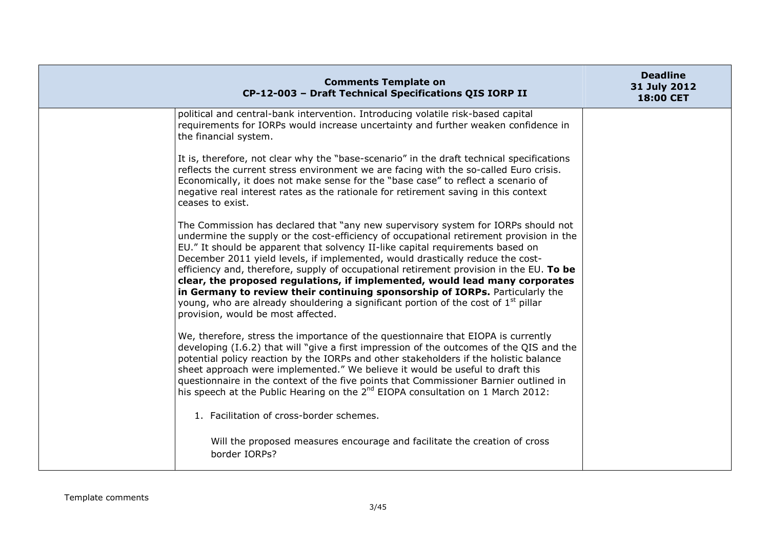| <b>Comments Template on</b><br>CP-12-003 - Draft Technical Specifications QIS IORP II                                                                                                                                                                                                                                                                                                                                                                                                                                                                                                                                                                                                                                                              | <b>Deadline</b><br>31 July 2012<br><b>18:00 CET</b> |
|----------------------------------------------------------------------------------------------------------------------------------------------------------------------------------------------------------------------------------------------------------------------------------------------------------------------------------------------------------------------------------------------------------------------------------------------------------------------------------------------------------------------------------------------------------------------------------------------------------------------------------------------------------------------------------------------------------------------------------------------------|-----------------------------------------------------|
| political and central-bank intervention. Introducing volatile risk-based capital<br>requirements for IORPs would increase uncertainty and further weaken confidence in<br>the financial system.                                                                                                                                                                                                                                                                                                                                                                                                                                                                                                                                                    |                                                     |
| It is, therefore, not clear why the "base-scenario" in the draft technical specifications<br>reflects the current stress environment we are facing with the so-called Euro crisis.<br>Economically, it does not make sense for the "base case" to reflect a scenario of<br>negative real interest rates as the rationale for retirement saving in this context<br>ceases to exist.                                                                                                                                                                                                                                                                                                                                                                 |                                                     |
| The Commission has declared that "any new supervisory system for IORPs should not<br>undermine the supply or the cost-efficiency of occupational retirement provision in the<br>EU." It should be apparent that solvency II-like capital requirements based on<br>December 2011 yield levels, if implemented, would drastically reduce the cost-<br>efficiency and, therefore, supply of occupational retirement provision in the EU. To be<br>clear, the proposed regulations, if implemented, would lead many corporates<br>in Germany to review their continuing sponsorship of IORPs. Particularly the<br>young, who are already shouldering a significant portion of the cost of 1 <sup>st</sup> pillar<br>provision, would be most affected. |                                                     |
| We, therefore, stress the importance of the questionnaire that EIOPA is currently<br>developing (I.6.2) that will "give a first impression of the outcomes of the QIS and the<br>potential policy reaction by the IORPs and other stakeholders if the holistic balance<br>sheet approach were implemented." We believe it would be useful to draft this<br>questionnaire in the context of the five points that Commissioner Barnier outlined in<br>his speech at the Public Hearing on the 2 <sup>nd</sup> EIOPA consultation on 1 March 2012:                                                                                                                                                                                                    |                                                     |
| 1. Facilitation of cross-border schemes.                                                                                                                                                                                                                                                                                                                                                                                                                                                                                                                                                                                                                                                                                                           |                                                     |
| Will the proposed measures encourage and facilitate the creation of cross<br>border IORPs?                                                                                                                                                                                                                                                                                                                                                                                                                                                                                                                                                                                                                                                         |                                                     |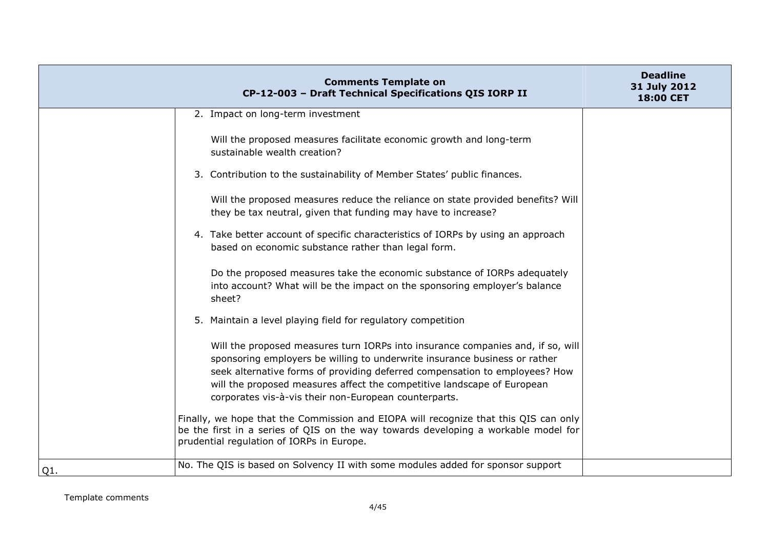| <b>Comments Template on</b><br>CP-12-003 - Draft Technical Specifications QIS IORP II                                                                                                                                                                                                                                                                                            | <b>Deadline</b><br>31 July 2012<br>18:00 CET |
|----------------------------------------------------------------------------------------------------------------------------------------------------------------------------------------------------------------------------------------------------------------------------------------------------------------------------------------------------------------------------------|----------------------------------------------|
| 2. Impact on long-term investment                                                                                                                                                                                                                                                                                                                                                |                                              |
| Will the proposed measures facilitate economic growth and long-term<br>sustainable wealth creation?                                                                                                                                                                                                                                                                              |                                              |
| 3. Contribution to the sustainability of Member States' public finances.                                                                                                                                                                                                                                                                                                         |                                              |
| Will the proposed measures reduce the reliance on state provided benefits? Will<br>they be tax neutral, given that funding may have to increase?                                                                                                                                                                                                                                 |                                              |
| 4. Take better account of specific characteristics of IORPs by using an approach<br>based on economic substance rather than legal form.                                                                                                                                                                                                                                          |                                              |
| Do the proposed measures take the economic substance of IORPs adequately<br>into account? What will be the impact on the sponsoring employer's balance<br>sheet?                                                                                                                                                                                                                 |                                              |
| 5. Maintain a level playing field for regulatory competition                                                                                                                                                                                                                                                                                                                     |                                              |
| Will the proposed measures turn IORPs into insurance companies and, if so, will<br>sponsoring employers be willing to underwrite insurance business or rather<br>seek alternative forms of providing deferred compensation to employees? How<br>will the proposed measures affect the competitive landscape of European<br>corporates vis-à-vis their non-European counterparts. |                                              |
| Finally, we hope that the Commission and EIOPA will recognize that this QIS can only<br>be the first in a series of QIS on the way towards developing a workable model for<br>prudential regulation of IORPs in Europe.                                                                                                                                                          |                                              |
| No. The QIS is based on Solvency II with some modules added for sponsor support<br>Q1.                                                                                                                                                                                                                                                                                           |                                              |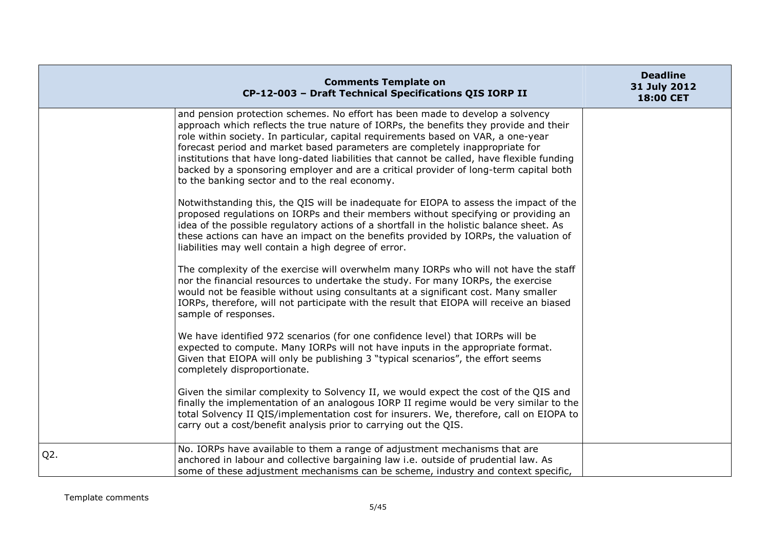|        | <b>Comments Template on</b><br>CP-12-003 - Draft Technical Specifications QIS IORP II                                                                                                                                                                                                                                                                                                                                                                                                                                                                                                | <b>Deadline</b><br>31 July 2012<br>18:00 CET |
|--------|--------------------------------------------------------------------------------------------------------------------------------------------------------------------------------------------------------------------------------------------------------------------------------------------------------------------------------------------------------------------------------------------------------------------------------------------------------------------------------------------------------------------------------------------------------------------------------------|----------------------------------------------|
|        | and pension protection schemes. No effort has been made to develop a solvency<br>approach which reflects the true nature of IORPs, the benefits they provide and their<br>role within society. In particular, capital requirements based on VAR, a one-year<br>forecast period and market based parameters are completely inappropriate for<br>institutions that have long-dated liabilities that cannot be called, have flexible funding<br>backed by a sponsoring employer and are a critical provider of long-term capital both<br>to the banking sector and to the real economy. |                                              |
|        | Notwithstanding this, the QIS will be inadequate for EIOPA to assess the impact of the<br>proposed regulations on IORPs and their members without specifying or providing an<br>idea of the possible regulatory actions of a shortfall in the holistic balance sheet. As<br>these actions can have an impact on the benefits provided by IORPs, the valuation of<br>liabilities may well contain a high degree of error.                                                                                                                                                             |                                              |
|        | The complexity of the exercise will overwhelm many IORPs who will not have the staff<br>nor the financial resources to undertake the study. For many IORPs, the exercise<br>would not be feasible without using consultants at a significant cost. Many smaller<br>IORPs, therefore, will not participate with the result that EIOPA will receive an biased<br>sample of responses.                                                                                                                                                                                                  |                                              |
|        | We have identified 972 scenarios (for one confidence level) that IORPs will be<br>expected to compute. Many IORPs will not have inputs in the appropriate format.<br>Given that EIOPA will only be publishing 3 "typical scenarios", the effort seems<br>completely disproportionate.                                                                                                                                                                                                                                                                                                |                                              |
|        | Given the similar complexity to Solvency II, we would expect the cost of the QIS and<br>finally the implementation of an analogous IORP II regime would be very similar to the<br>total Solvency II QIS/implementation cost for insurers. We, therefore, call on EIOPA to<br>carry out a cost/benefit analysis prior to carrying out the QIS.                                                                                                                                                                                                                                        |                                              |
| $Q2$ . | No. IORPs have available to them a range of adjustment mechanisms that are<br>anchored in labour and collective bargaining law i.e. outside of prudential law. As<br>some of these adjustment mechanisms can be scheme, industry and context specific,                                                                                                                                                                                                                                                                                                                               |                                              |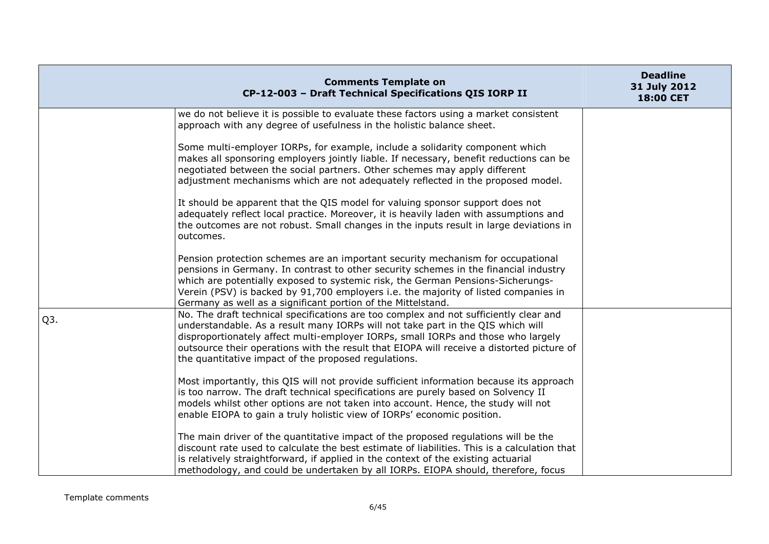|                  | <b>Comments Template on</b><br>CP-12-003 - Draft Technical Specifications QIS IORP II                                                                                                                                                                                                                                                                                                                              | <b>Deadline</b><br>31 July 2012<br>18:00 CET |
|------------------|--------------------------------------------------------------------------------------------------------------------------------------------------------------------------------------------------------------------------------------------------------------------------------------------------------------------------------------------------------------------------------------------------------------------|----------------------------------------------|
|                  | we do not believe it is possible to evaluate these factors using a market consistent<br>approach with any degree of usefulness in the holistic balance sheet.                                                                                                                                                                                                                                                      |                                              |
|                  | Some multi-employer IORPs, for example, include a solidarity component which<br>makes all sponsoring employers jointly liable. If necessary, benefit reductions can be<br>negotiated between the social partners. Other schemes may apply different<br>adjustment mechanisms which are not adequately reflected in the proposed model.                                                                             |                                              |
|                  | It should be apparent that the QIS model for valuing sponsor support does not<br>adequately reflect local practice. Moreover, it is heavily laden with assumptions and<br>the outcomes are not robust. Small changes in the inputs result in large deviations in<br>outcomes.                                                                                                                                      |                                              |
|                  | Pension protection schemes are an important security mechanism for occupational<br>pensions in Germany. In contrast to other security schemes in the financial industry<br>which are potentially exposed to systemic risk, the German Pensions-Sicherungs-<br>Verein (PSV) is backed by 91,700 employers i.e. the majority of listed companies in<br>Germany as well as a significant portion of the Mittelstand.  |                                              |
| Q <sub>3</sub> . | No. The draft technical specifications are too complex and not sufficiently clear and<br>understandable. As a result many IORPs will not take part in the QIS which will<br>disproportionately affect multi-employer IORPs, small IORPs and those who largely<br>outsource their operations with the result that EIOPA will receive a distorted picture of<br>the quantitative impact of the proposed regulations. |                                              |
|                  | Most importantly, this QIS will not provide sufficient information because its approach<br>is too narrow. The draft technical specifications are purely based on Solvency II<br>models whilst other options are not taken into account. Hence, the study will not<br>enable EIOPA to gain a truly holistic view of IORPs' economic position.                                                                       |                                              |
|                  | The main driver of the quantitative impact of the proposed regulations will be the<br>discount rate used to calculate the best estimate of liabilities. This is a calculation that<br>is relatively straightforward, if applied in the context of the existing actuarial<br>methodology, and could be undertaken by all IORPs. EIOPA should, therefore, focus                                                      |                                              |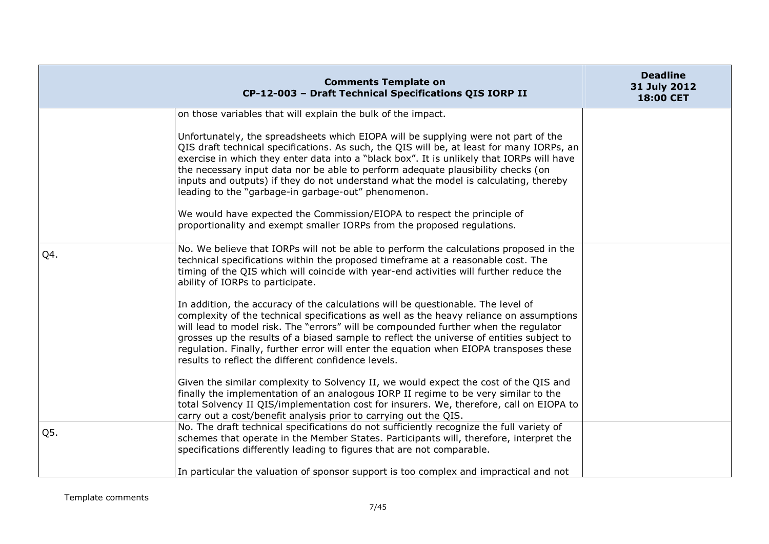|     | <b>Comments Template on</b><br>CP-12-003 - Draft Technical Specifications QIS IORP II                                                                                                                                                                                                                                                                                                                                                                                                                           | <b>Deadline</b><br>31 July 2012<br>18:00 CET |
|-----|-----------------------------------------------------------------------------------------------------------------------------------------------------------------------------------------------------------------------------------------------------------------------------------------------------------------------------------------------------------------------------------------------------------------------------------------------------------------------------------------------------------------|----------------------------------------------|
|     | on those variables that will explain the bulk of the impact.                                                                                                                                                                                                                                                                                                                                                                                                                                                    |                                              |
|     | Unfortunately, the spreadsheets which EIOPA will be supplying were not part of the<br>QIS draft technical specifications. As such, the QIS will be, at least for many IORPs, an<br>exercise in which they enter data into a "black box". It is unlikely that IORPs will have<br>the necessary input data nor be able to perform adequate plausibility checks (on<br>inputs and outputs) if they do not understand what the model is calculating, thereby<br>leading to the "garbage-in garbage-out" phenomenon. |                                              |
|     | We would have expected the Commission/EIOPA to respect the principle of<br>proportionality and exempt smaller IORPs from the proposed regulations.                                                                                                                                                                                                                                                                                                                                                              |                                              |
| Q4. | No. We believe that IORPs will not be able to perform the calculations proposed in the<br>technical specifications within the proposed timeframe at a reasonable cost. The<br>timing of the QIS which will coincide with year-end activities will further reduce the<br>ability of IORPs to participate.                                                                                                                                                                                                        |                                              |
|     | In addition, the accuracy of the calculations will be questionable. The level of<br>complexity of the technical specifications as well as the heavy reliance on assumptions<br>will lead to model risk. The "errors" will be compounded further when the regulator<br>grosses up the results of a biased sample to reflect the universe of entities subject to<br>regulation. Finally, further error will enter the equation when EIOPA transposes these<br>results to reflect the different confidence levels. |                                              |
|     | Given the similar complexity to Solvency II, we would expect the cost of the QIS and<br>finally the implementation of an analogous IORP II regime to be very similar to the<br>total Solvency II QIS/implementation cost for insurers. We, therefore, call on EIOPA to<br>carry out a cost/benefit analysis prior to carrying out the QIS.                                                                                                                                                                      |                                              |
| Q5. | No. The draft technical specifications do not sufficiently recognize the full variety of<br>schemes that operate in the Member States. Participants will, therefore, interpret the<br>specifications differently leading to figures that are not comparable.                                                                                                                                                                                                                                                    |                                              |
|     | In particular the valuation of sponsor support is too complex and impractical and not                                                                                                                                                                                                                                                                                                                                                                                                                           |                                              |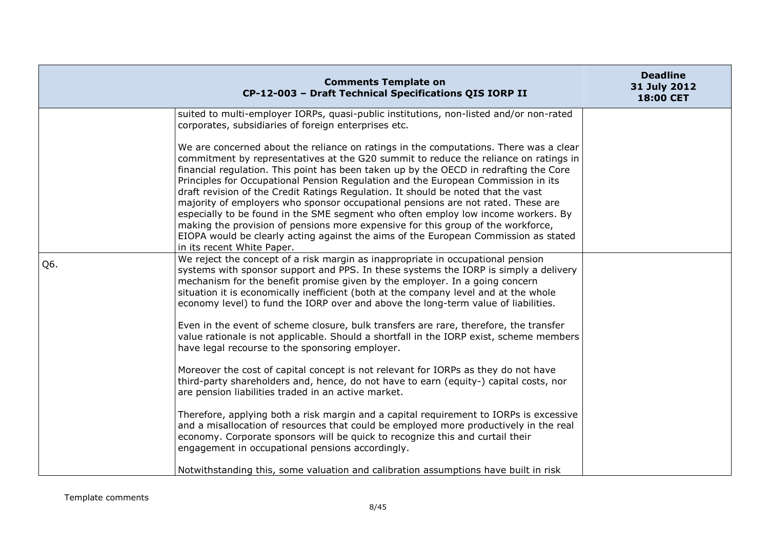|     | <b>Comments Template on</b><br>CP-12-003 - Draft Technical Specifications QIS IORP II                                                                                                                                                                                                                                                                                                                                                                                                                                                                                                                                                                                                                                                                                                                                              | <b>Deadline</b><br>31 July 2012<br>18:00 CET |
|-----|------------------------------------------------------------------------------------------------------------------------------------------------------------------------------------------------------------------------------------------------------------------------------------------------------------------------------------------------------------------------------------------------------------------------------------------------------------------------------------------------------------------------------------------------------------------------------------------------------------------------------------------------------------------------------------------------------------------------------------------------------------------------------------------------------------------------------------|----------------------------------------------|
|     | suited to multi-employer IORPs, quasi-public institutions, non-listed and/or non-rated<br>corporates, subsidiaries of foreign enterprises etc.                                                                                                                                                                                                                                                                                                                                                                                                                                                                                                                                                                                                                                                                                     |                                              |
|     | We are concerned about the reliance on ratings in the computations. There was a clear<br>commitment by representatives at the G20 summit to reduce the reliance on ratings in<br>financial regulation. This point has been taken up by the OECD in redrafting the Core<br>Principles for Occupational Pension Regulation and the European Commission in its<br>draft revision of the Credit Ratings Regulation. It should be noted that the vast<br>majority of employers who sponsor occupational pensions are not rated. These are<br>especially to be found in the SME segment who often employ low income workers. By<br>making the provision of pensions more expensive for this group of the workforce,<br>EIOPA would be clearly acting against the aims of the European Commission as stated<br>in its recent White Paper. |                                              |
| Q6. | We reject the concept of a risk margin as inappropriate in occupational pension<br>systems with sponsor support and PPS. In these systems the IORP is simply a delivery<br>mechanism for the benefit promise given by the employer. In a going concern<br>situation it is economically inefficient (both at the company level and at the whole<br>economy level) to fund the IORP over and above the long-term value of liabilities.                                                                                                                                                                                                                                                                                                                                                                                               |                                              |
|     | Even in the event of scheme closure, bulk transfers are rare, therefore, the transfer<br>value rationale is not applicable. Should a shortfall in the IORP exist, scheme members<br>have legal recourse to the sponsoring employer.                                                                                                                                                                                                                                                                                                                                                                                                                                                                                                                                                                                                |                                              |
|     | Moreover the cost of capital concept is not relevant for IORPs as they do not have<br>third-party shareholders and, hence, do not have to earn (equity-) capital costs, nor<br>are pension liabilities traded in an active market.                                                                                                                                                                                                                                                                                                                                                                                                                                                                                                                                                                                                 |                                              |
|     | Therefore, applying both a risk margin and a capital requirement to IORPs is excessive<br>and a misallocation of resources that could be employed more productively in the real<br>economy. Corporate sponsors will be quick to recognize this and curtail their<br>engagement in occupational pensions accordingly.                                                                                                                                                                                                                                                                                                                                                                                                                                                                                                               |                                              |
|     | Notwithstanding this, some valuation and calibration assumptions have built in risk                                                                                                                                                                                                                                                                                                                                                                                                                                                                                                                                                                                                                                                                                                                                                |                                              |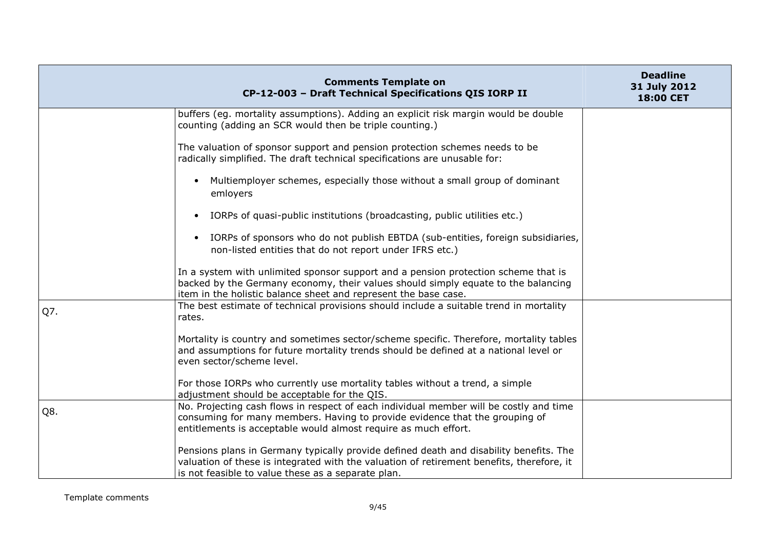|     | <b>Comments Template on</b><br>CP-12-003 - Draft Technical Specifications QIS IORP II                                                                                                                                                      | <b>Deadline</b><br>31 July 2012<br>18:00 CET |
|-----|--------------------------------------------------------------------------------------------------------------------------------------------------------------------------------------------------------------------------------------------|----------------------------------------------|
|     | buffers (eg. mortality assumptions). Adding an explicit risk margin would be double<br>counting (adding an SCR would then be triple counting.)                                                                                             |                                              |
|     | The valuation of sponsor support and pension protection schemes needs to be<br>radically simplified. The draft technical specifications are unusable for:                                                                                  |                                              |
|     | Multiemployer schemes, especially those without a small group of dominant<br>$\bullet$<br>emloyers                                                                                                                                         |                                              |
|     | IORPs of quasi-public institutions (broadcasting, public utilities etc.)<br>$\bullet$                                                                                                                                                      |                                              |
|     | IORPs of sponsors who do not publish EBTDA (sub-entities, foreign subsidiaries,<br>$\bullet$<br>non-listed entities that do not report under IFRS etc.)                                                                                    |                                              |
|     | In a system with unlimited sponsor support and a pension protection scheme that is<br>backed by the Germany economy, their values should simply equate to the balancing<br>item in the holistic balance sheet and represent the base case. |                                              |
| Q7. | The best estimate of technical provisions should include a suitable trend in mortality<br>rates.                                                                                                                                           |                                              |
|     | Mortality is country and sometimes sector/scheme specific. Therefore, mortality tables<br>and assumptions for future mortality trends should be defined at a national level or<br>even sector/scheme level.                                |                                              |
|     | For those IORPs who currently use mortality tables without a trend, a simple<br>adjustment should be acceptable for the QIS.                                                                                                               |                                              |
| Q8. | No. Projecting cash flows in respect of each individual member will be costly and time<br>consuming for many members. Having to provide evidence that the grouping of<br>entitlements is acceptable would almost require as much effort.   |                                              |
|     | Pensions plans in Germany typically provide defined death and disability benefits. The<br>valuation of these is integrated with the valuation of retirement benefits, therefore, it<br>is not feasible to value these as a separate plan.  |                                              |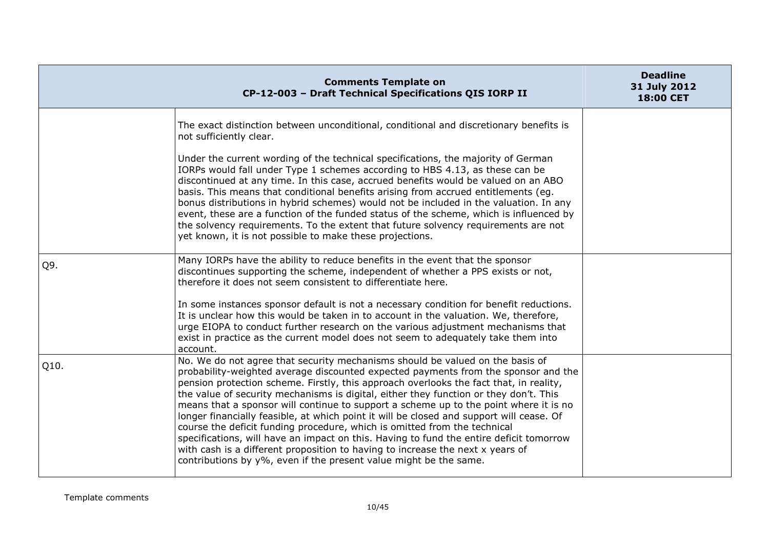|      | <b>Comments Template on</b><br>CP-12-003 - Draft Technical Specifications QIS IORP II                                                                                                                                                                                                                                                                                                                                                                                                                                                                                                                                                                                                                                                                                                                                                                                      | <b>Deadline</b><br>31 July 2012<br>18:00 CET |
|------|----------------------------------------------------------------------------------------------------------------------------------------------------------------------------------------------------------------------------------------------------------------------------------------------------------------------------------------------------------------------------------------------------------------------------------------------------------------------------------------------------------------------------------------------------------------------------------------------------------------------------------------------------------------------------------------------------------------------------------------------------------------------------------------------------------------------------------------------------------------------------|----------------------------------------------|
|      | The exact distinction between unconditional, conditional and discretionary benefits is<br>not sufficiently clear.                                                                                                                                                                                                                                                                                                                                                                                                                                                                                                                                                                                                                                                                                                                                                          |                                              |
|      | Under the current wording of the technical specifications, the majority of German<br>IORPs would fall under Type 1 schemes according to HBS 4.13, as these can be<br>discontinued at any time. In this case, accrued benefits would be valued on an ABO<br>basis. This means that conditional benefits arising from accrued entitlements (eg.<br>bonus distributions in hybrid schemes) would not be included in the valuation. In any<br>event, these are a function of the funded status of the scheme, which is influenced by<br>the solvency requirements. To the extent that future solvency requirements are not<br>yet known, it is not possible to make these projections.                                                                                                                                                                                         |                                              |
| Q9.  | Many IORPs have the ability to reduce benefits in the event that the sponsor<br>discontinues supporting the scheme, independent of whether a PPS exists or not,<br>therefore it does not seem consistent to differentiate here.                                                                                                                                                                                                                                                                                                                                                                                                                                                                                                                                                                                                                                            |                                              |
|      | In some instances sponsor default is not a necessary condition for benefit reductions.<br>It is unclear how this would be taken in to account in the valuation. We, therefore,<br>urge EIOPA to conduct further research on the various adjustment mechanisms that<br>exist in practice as the current model does not seem to adequately take them into<br>account.                                                                                                                                                                                                                                                                                                                                                                                                                                                                                                        |                                              |
| Q10. | No. We do not agree that security mechanisms should be valued on the basis of<br>probability-weighted average discounted expected payments from the sponsor and the<br>pension protection scheme. Firstly, this approach overlooks the fact that, in reality,<br>the value of security mechanisms is digital, either they function or they don't. This<br>means that a sponsor will continue to support a scheme up to the point where it is no<br>longer financially feasible, at which point it will be closed and support will cease. Of<br>course the deficit funding procedure, which is omitted from the technical<br>specifications, will have an impact on this. Having to fund the entire deficit tomorrow<br>with cash is a different proposition to having to increase the next x years of<br>contributions by y%, even if the present value might be the same. |                                              |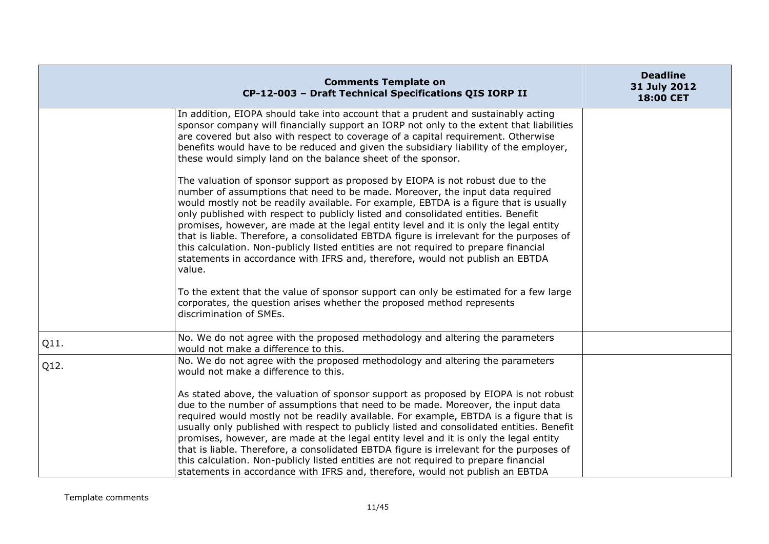|      | <b>Comments Template on</b><br>CP-12-003 - Draft Technical Specifications QIS IORP II                                                                                                                                                                                                                                                                                                                                                                                                                                                                                                                                                                                                                                        | <b>Deadline</b><br>31 July 2012<br>18:00 CET |
|------|------------------------------------------------------------------------------------------------------------------------------------------------------------------------------------------------------------------------------------------------------------------------------------------------------------------------------------------------------------------------------------------------------------------------------------------------------------------------------------------------------------------------------------------------------------------------------------------------------------------------------------------------------------------------------------------------------------------------------|----------------------------------------------|
|      | In addition, EIOPA should take into account that a prudent and sustainably acting<br>sponsor company will financially support an IORP not only to the extent that liabilities<br>are covered but also with respect to coverage of a capital requirement. Otherwise<br>benefits would have to be reduced and given the subsidiary liability of the employer,<br>these would simply land on the balance sheet of the sponsor.                                                                                                                                                                                                                                                                                                  |                                              |
|      | The valuation of sponsor support as proposed by EIOPA is not robust due to the<br>number of assumptions that need to be made. Moreover, the input data required<br>would mostly not be readily available. For example, EBTDA is a figure that is usually<br>only published with respect to publicly listed and consolidated entities. Benefit<br>promises, however, are made at the legal entity level and it is only the legal entity<br>that is liable. Therefore, a consolidated EBTDA figure is irrelevant for the purposes of<br>this calculation. Non-publicly listed entities are not required to prepare financial<br>statements in accordance with IFRS and, therefore, would not publish an EBTDA<br>value.        |                                              |
|      | To the extent that the value of sponsor support can only be estimated for a few large<br>corporates, the question arises whether the proposed method represents<br>discrimination of SMEs.                                                                                                                                                                                                                                                                                                                                                                                                                                                                                                                                   |                                              |
| Q11. | No. We do not agree with the proposed methodology and altering the parameters<br>would not make a difference to this.                                                                                                                                                                                                                                                                                                                                                                                                                                                                                                                                                                                                        |                                              |
| Q12. | No. We do not agree with the proposed methodology and altering the parameters<br>would not make a difference to this.                                                                                                                                                                                                                                                                                                                                                                                                                                                                                                                                                                                                        |                                              |
|      | As stated above, the valuation of sponsor support as proposed by EIOPA is not robust<br>due to the number of assumptions that need to be made. Moreover, the input data<br>required would mostly not be readily available. For example, EBTDA is a figure that is<br>usually only published with respect to publicly listed and consolidated entities. Benefit<br>promises, however, are made at the legal entity level and it is only the legal entity<br>that is liable. Therefore, a consolidated EBTDA figure is irrelevant for the purposes of<br>this calculation. Non-publicly listed entities are not required to prepare financial<br>statements in accordance with IFRS and, therefore, would not publish an EBTDA |                                              |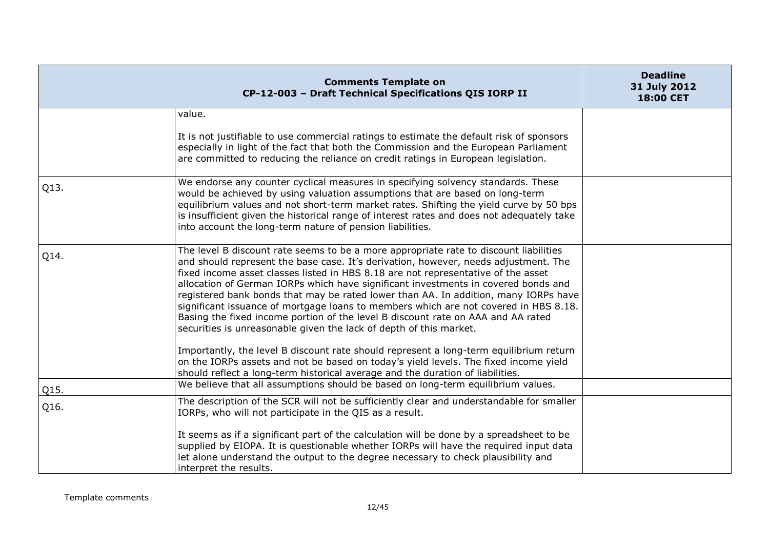|      | <b>Comments Template on</b><br>CP-12-003 - Draft Technical Specifications QIS IORP II                                                                                                                                                                                                                                                                                                                                                                                                                                                                                                                                                                                                            | <b>Deadline</b><br>31 July 2012<br>18:00 CET |
|------|--------------------------------------------------------------------------------------------------------------------------------------------------------------------------------------------------------------------------------------------------------------------------------------------------------------------------------------------------------------------------------------------------------------------------------------------------------------------------------------------------------------------------------------------------------------------------------------------------------------------------------------------------------------------------------------------------|----------------------------------------------|
|      | value.                                                                                                                                                                                                                                                                                                                                                                                                                                                                                                                                                                                                                                                                                           |                                              |
|      | It is not justifiable to use commercial ratings to estimate the default risk of sponsors<br>especially in light of the fact that both the Commission and the European Parliament<br>are committed to reducing the reliance on credit ratings in European legislation.                                                                                                                                                                                                                                                                                                                                                                                                                            |                                              |
| Q13. | We endorse any counter cyclical measures in specifying solvency standards. These<br>would be achieved by using valuation assumptions that are based on long-term<br>equilibrium values and not short-term market rates. Shifting the yield curve by 50 bps<br>is insufficient given the historical range of interest rates and does not adequately take<br>into account the long-term nature of pension liabilities.                                                                                                                                                                                                                                                                             |                                              |
| Q14. | The level B discount rate seems to be a more appropriate rate to discount liabilities<br>and should represent the base case. It's derivation, however, needs adjustment. The<br>fixed income asset classes listed in HBS 8.18 are not representative of the asset<br>allocation of German IORPs which have significant investments in covered bonds and<br>registered bank bonds that may be rated lower than AA. In addition, many IORPs have<br>significant issuance of mortgage loans to members which are not covered in HBS 8.18.<br>Basing the fixed income portion of the level B discount rate on AAA and AA rated<br>securities is unreasonable given the lack of depth of this market. |                                              |
|      | Importantly, the level B discount rate should represent a long-term equilibrium return<br>on the IORPs assets and not be based on today's yield levels. The fixed income yield<br>should reflect a long-term historical average and the duration of liabilities.                                                                                                                                                                                                                                                                                                                                                                                                                                 |                                              |
| Q15. | We believe that all assumptions should be based on long-term equilibrium values.                                                                                                                                                                                                                                                                                                                                                                                                                                                                                                                                                                                                                 |                                              |
| Q16. | The description of the SCR will not be sufficiently clear and understandable for smaller<br>IORPs, who will not participate in the QIS as a result.                                                                                                                                                                                                                                                                                                                                                                                                                                                                                                                                              |                                              |
|      | It seems as if a significant part of the calculation will be done by a spreadsheet to be<br>supplied by EIOPA. It is questionable whether IORPs will have the required input data<br>let alone understand the output to the degree necessary to check plausibility and<br>interpret the results.                                                                                                                                                                                                                                                                                                                                                                                                 |                                              |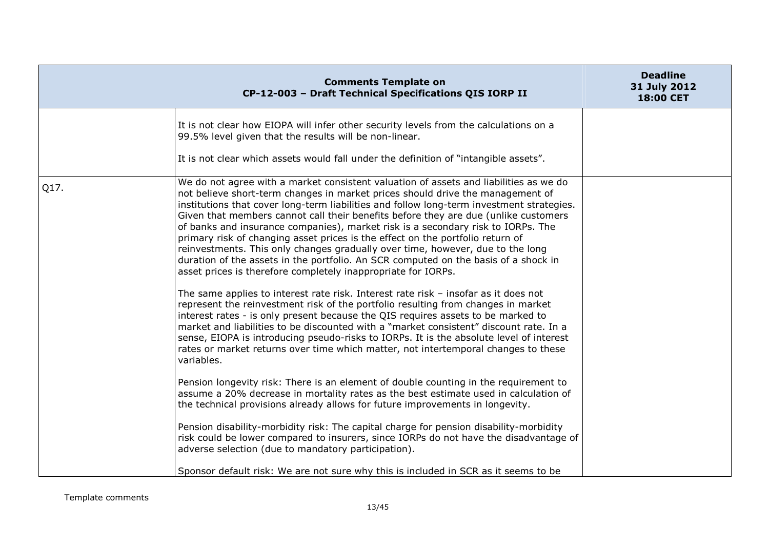|      | <b>Comments Template on</b><br>CP-12-003 - Draft Technical Specifications QIS IORP II                                                                                                                                                                                                                                                                                                                                                                                                                                                                                                                                                                                                                                                                                                                                                                                                                                                                                                                                                                                                                                                                                                                                                                                                                                                | <b>Deadline</b><br>31 July 2012<br>18:00 CET |
|------|--------------------------------------------------------------------------------------------------------------------------------------------------------------------------------------------------------------------------------------------------------------------------------------------------------------------------------------------------------------------------------------------------------------------------------------------------------------------------------------------------------------------------------------------------------------------------------------------------------------------------------------------------------------------------------------------------------------------------------------------------------------------------------------------------------------------------------------------------------------------------------------------------------------------------------------------------------------------------------------------------------------------------------------------------------------------------------------------------------------------------------------------------------------------------------------------------------------------------------------------------------------------------------------------------------------------------------------|----------------------------------------------|
|      | It is not clear how EIOPA will infer other security levels from the calculations on a<br>99.5% level given that the results will be non-linear.                                                                                                                                                                                                                                                                                                                                                                                                                                                                                                                                                                                                                                                                                                                                                                                                                                                                                                                                                                                                                                                                                                                                                                                      |                                              |
|      | It is not clear which assets would fall under the definition of "intangible assets".                                                                                                                                                                                                                                                                                                                                                                                                                                                                                                                                                                                                                                                                                                                                                                                                                                                                                                                                                                                                                                                                                                                                                                                                                                                 |                                              |
| Q17. | We do not agree with a market consistent valuation of assets and liabilities as we do<br>not believe short-term changes in market prices should drive the management of<br>institutions that cover long-term liabilities and follow long-term investment strategies.<br>Given that members cannot call their benefits before they are due (unlike customers<br>of banks and insurance companies), market risk is a secondary risk to IORPs. The<br>primary risk of changing asset prices is the effect on the portfolio return of<br>reinvestments. This only changes gradually over time, however, due to the long<br>duration of the assets in the portfolio. An SCR computed on the basis of a shock in<br>asset prices is therefore completely inappropriate for IORPs.<br>The same applies to interest rate risk. Interest rate risk - insofar as it does not<br>represent the reinvestment risk of the portfolio resulting from changes in market<br>interest rates - is only present because the QIS requires assets to be marked to<br>market and liabilities to be discounted with a "market consistent" discount rate. In a<br>sense, EIOPA is introducing pseudo-risks to IORPs. It is the absolute level of interest<br>rates or market returns over time which matter, not intertemporal changes to these<br>variables. |                                              |
|      | Pension longevity risk: There is an element of double counting in the requirement to<br>assume a 20% decrease in mortality rates as the best estimate used in calculation of<br>the technical provisions already allows for future improvements in longevity.                                                                                                                                                                                                                                                                                                                                                                                                                                                                                                                                                                                                                                                                                                                                                                                                                                                                                                                                                                                                                                                                        |                                              |
|      | Pension disability-morbidity risk: The capital charge for pension disability-morbidity<br>risk could be lower compared to insurers, since IORPs do not have the disadvantage of<br>adverse selection (due to mandatory participation).                                                                                                                                                                                                                                                                                                                                                                                                                                                                                                                                                                                                                                                                                                                                                                                                                                                                                                                                                                                                                                                                                               |                                              |
|      | Sponsor default risk: We are not sure why this is included in SCR as it seems to be                                                                                                                                                                                                                                                                                                                                                                                                                                                                                                                                                                                                                                                                                                                                                                                                                                                                                                                                                                                                                                                                                                                                                                                                                                                  |                                              |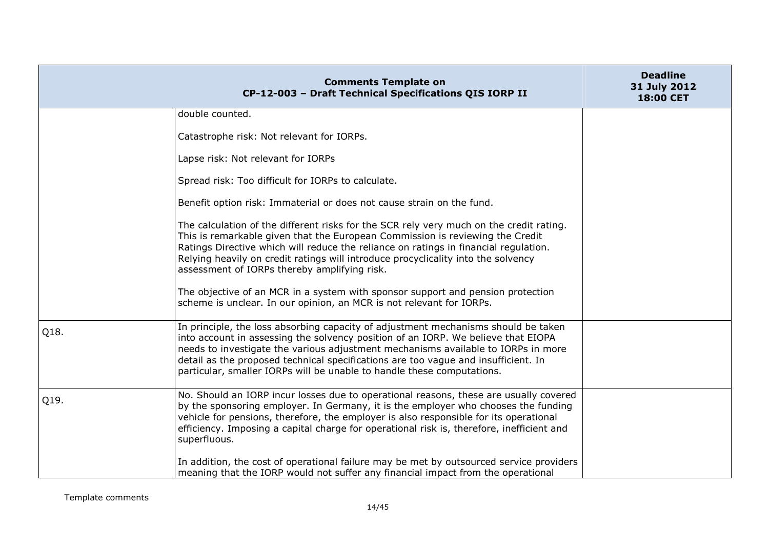|      | <b>Comments Template on</b><br>CP-12-003 - Draft Technical Specifications QIS IORP II                                                                                                                                                                                                                                                                                                                                        | <b>Deadline</b><br>31 July 2012<br>18:00 CET |
|------|------------------------------------------------------------------------------------------------------------------------------------------------------------------------------------------------------------------------------------------------------------------------------------------------------------------------------------------------------------------------------------------------------------------------------|----------------------------------------------|
|      | double counted.                                                                                                                                                                                                                                                                                                                                                                                                              |                                              |
|      | Catastrophe risk: Not relevant for IORPs.                                                                                                                                                                                                                                                                                                                                                                                    |                                              |
|      | Lapse risk: Not relevant for IORPs                                                                                                                                                                                                                                                                                                                                                                                           |                                              |
|      | Spread risk: Too difficult for IORPs to calculate.                                                                                                                                                                                                                                                                                                                                                                           |                                              |
|      | Benefit option risk: Immaterial or does not cause strain on the fund.                                                                                                                                                                                                                                                                                                                                                        |                                              |
|      | The calculation of the different risks for the SCR rely very much on the credit rating.<br>This is remarkable given that the European Commission is reviewing the Credit<br>Ratings Directive which will reduce the reliance on ratings in financial regulation.<br>Relying heavily on credit ratings will introduce procyclicality into the solvency<br>assessment of IORPs thereby amplifying risk.                        |                                              |
|      | The objective of an MCR in a system with sponsor support and pension protection<br>scheme is unclear. In our opinion, an MCR is not relevant for IORPs.                                                                                                                                                                                                                                                                      |                                              |
| Q18. | In principle, the loss absorbing capacity of adjustment mechanisms should be taken<br>into account in assessing the solvency position of an IORP. We believe that EIOPA<br>needs to investigate the various adjustment mechanisms available to IORPs in more<br>detail as the proposed technical specifications are too vague and insufficient. In<br>particular, smaller IORPs will be unable to handle these computations. |                                              |
| Q19. | No. Should an IORP incur losses due to operational reasons, these are usually covered<br>by the sponsoring employer. In Germany, it is the employer who chooses the funding<br>vehicle for pensions, therefore, the employer is also responsible for its operational<br>efficiency. Imposing a capital charge for operational risk is, therefore, inefficient and<br>superfluous.                                            |                                              |
|      | In addition, the cost of operational failure may be met by outsourced service providers<br>meaning that the IORP would not suffer any financial impact from the operational                                                                                                                                                                                                                                                  |                                              |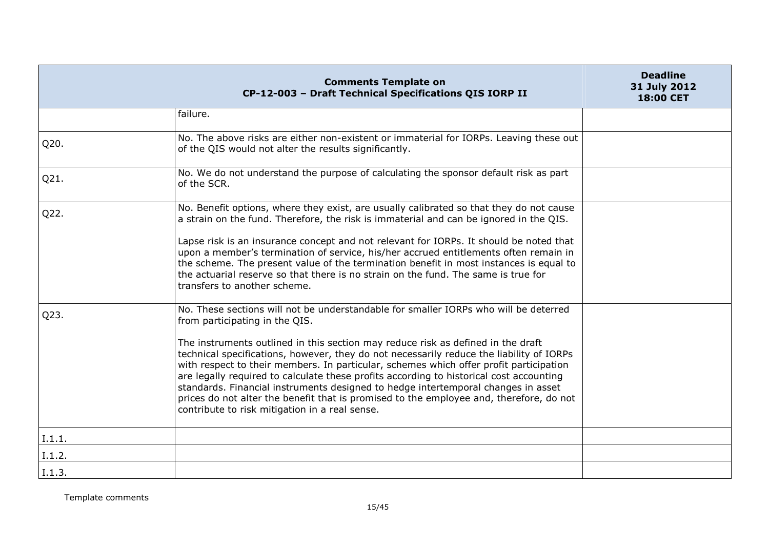|        | <b>Comments Template on</b><br>CP-12-003 - Draft Technical Specifications QIS IORP II                                                                                                                                                                                                                                                                                                                                                                                                                                                                                                                                                                                                                                         | <b>Deadline</b><br>31 July 2012<br>18:00 CET |
|--------|-------------------------------------------------------------------------------------------------------------------------------------------------------------------------------------------------------------------------------------------------------------------------------------------------------------------------------------------------------------------------------------------------------------------------------------------------------------------------------------------------------------------------------------------------------------------------------------------------------------------------------------------------------------------------------------------------------------------------------|----------------------------------------------|
|        | failure.                                                                                                                                                                                                                                                                                                                                                                                                                                                                                                                                                                                                                                                                                                                      |                                              |
| Q20.   | No. The above risks are either non-existent or immaterial for IORPs. Leaving these out<br>of the QIS would not alter the results significantly.                                                                                                                                                                                                                                                                                                                                                                                                                                                                                                                                                                               |                                              |
| Q21.   | No. We do not understand the purpose of calculating the sponsor default risk as part<br>of the SCR.                                                                                                                                                                                                                                                                                                                                                                                                                                                                                                                                                                                                                           |                                              |
| Q22.   | No. Benefit options, where they exist, are usually calibrated so that they do not cause<br>a strain on the fund. Therefore, the risk is immaterial and can be ignored in the QIS.                                                                                                                                                                                                                                                                                                                                                                                                                                                                                                                                             |                                              |
|        | Lapse risk is an insurance concept and not relevant for IORPs. It should be noted that<br>upon a member's termination of service, his/her accrued entitlements often remain in<br>the scheme. The present value of the termination benefit in most instances is equal to<br>the actuarial reserve so that there is no strain on the fund. The same is true for<br>transfers to another scheme.                                                                                                                                                                                                                                                                                                                                |                                              |
| Q23.   | No. These sections will not be understandable for smaller IORPs who will be deterred<br>from participating in the QIS.<br>The instruments outlined in this section may reduce risk as defined in the draft<br>technical specifications, however, they do not necessarily reduce the liability of IORPs<br>with respect to their members. In particular, schemes which offer profit participation<br>are legally required to calculate these profits according to historical cost accounting<br>standards. Financial instruments designed to hedge intertemporal changes in asset<br>prices do not alter the benefit that is promised to the employee and, therefore, do not<br>contribute to risk mitigation in a real sense. |                                              |
| I.1.1. |                                                                                                                                                                                                                                                                                                                                                                                                                                                                                                                                                                                                                                                                                                                               |                                              |
| I.1.2. |                                                                                                                                                                                                                                                                                                                                                                                                                                                                                                                                                                                                                                                                                                                               |                                              |
| I.1.3. |                                                                                                                                                                                                                                                                                                                                                                                                                                                                                                                                                                                                                                                                                                                               |                                              |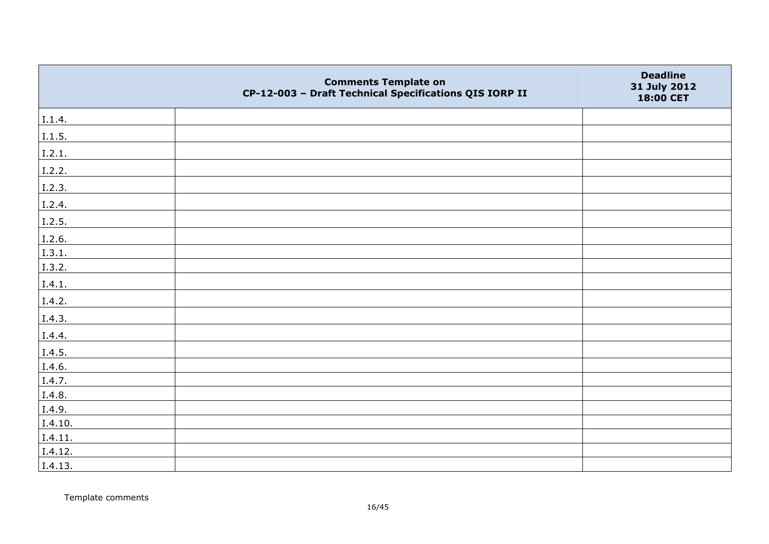|         | <b>Comments Template on</b><br>CP-12-003 - Draft Technical Specifications QIS IORP II | <b>Deadline</b><br>31 July 2012<br>18:00 CET |
|---------|---------------------------------------------------------------------------------------|----------------------------------------------|
| I.1.4.  |                                                                                       |                                              |
| 1.1.5.  |                                                                                       |                                              |
| I.2.1.  |                                                                                       |                                              |
| I.2.2.  |                                                                                       |                                              |
| I.2.3.  |                                                                                       |                                              |
| I.2.4.  |                                                                                       |                                              |
| I.2.5.  |                                                                                       |                                              |
| I.2.6.  |                                                                                       |                                              |
| I.3.1.  |                                                                                       |                                              |
| I.3.2.  |                                                                                       |                                              |
| I.4.1.  |                                                                                       |                                              |
| I.4.2.  |                                                                                       |                                              |
| I.4.3.  |                                                                                       |                                              |
| I.4.4.  |                                                                                       |                                              |
| I.4.5.  |                                                                                       |                                              |
| I.4.6.  |                                                                                       |                                              |
| I.4.7.  |                                                                                       |                                              |
| I.4.8.  |                                                                                       |                                              |
| I.4.9.  |                                                                                       |                                              |
| I.4.10. |                                                                                       |                                              |
| I.4.11. |                                                                                       |                                              |
| I.4.12. |                                                                                       |                                              |
| I.4.13. |                                                                                       |                                              |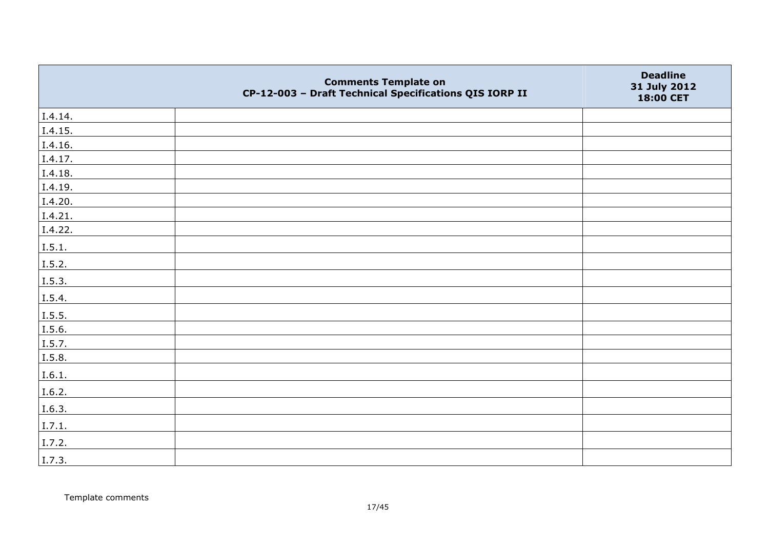|         | <b>Comments Template on</b><br>CP-12-003 - Draft Technical Specifications QIS IORP II | <b>Deadline</b><br>31 July 2012<br>18:00 CET |
|---------|---------------------------------------------------------------------------------------|----------------------------------------------|
| I.4.14. |                                                                                       |                                              |
| I.4.15. |                                                                                       |                                              |
| I.4.16. |                                                                                       |                                              |
| I.4.17. |                                                                                       |                                              |
| I.4.18. |                                                                                       |                                              |
| I.4.19. |                                                                                       |                                              |
| I.4.20. |                                                                                       |                                              |
| I.4.21. |                                                                                       |                                              |
| I.4.22. |                                                                                       |                                              |
| I.5.1.  |                                                                                       |                                              |
| I.5.2.  |                                                                                       |                                              |
| I.5.3.  |                                                                                       |                                              |
| I.5.4.  |                                                                                       |                                              |
| I.5.5.  |                                                                                       |                                              |
| I.5.6.  |                                                                                       |                                              |
| I.5.7.  |                                                                                       |                                              |
| I.5.8.  |                                                                                       |                                              |
| I.6.1.  |                                                                                       |                                              |
| I.6.2.  |                                                                                       |                                              |
| I.6.3.  |                                                                                       |                                              |
| I.7.1.  |                                                                                       |                                              |
| I.7.2.  |                                                                                       |                                              |
| I.7.3.  |                                                                                       |                                              |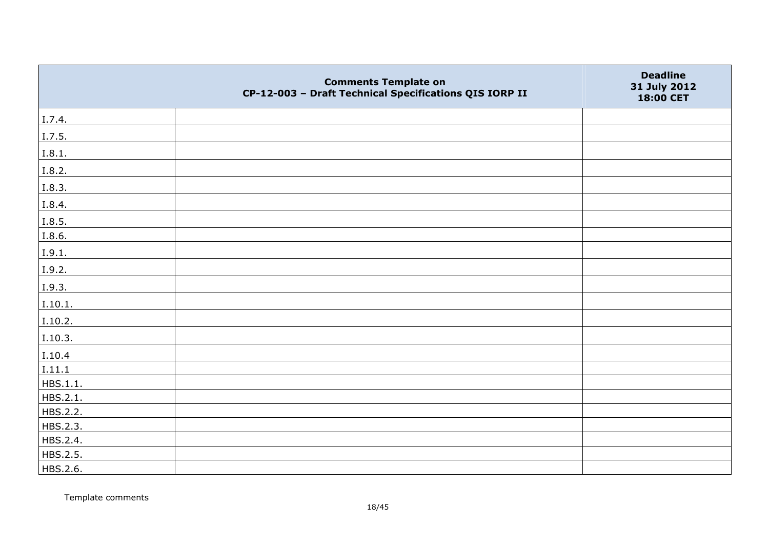|          | <b>Comments Template on</b><br>CP-12-003 - Draft Technical Specifications QIS IORP II | <b>Deadline</b><br>31 July 2012<br>18:00 CET |
|----------|---------------------------------------------------------------------------------------|----------------------------------------------|
| I.7.4.   |                                                                                       |                                              |
| I.7.5.   |                                                                                       |                                              |
| I.8.1.   |                                                                                       |                                              |
| I.8.2.   |                                                                                       |                                              |
| I.8.3.   |                                                                                       |                                              |
| I.8.4.   |                                                                                       |                                              |
| I.8.5.   |                                                                                       |                                              |
| I.8.6.   |                                                                                       |                                              |
| I.9.1.   |                                                                                       |                                              |
| I.9.2.   |                                                                                       |                                              |
| I.9.3.   |                                                                                       |                                              |
| I.10.1.  |                                                                                       |                                              |
| I.10.2.  |                                                                                       |                                              |
| I.10.3.  |                                                                                       |                                              |
| I.10.4   |                                                                                       |                                              |
| I.11.1   |                                                                                       |                                              |
| HBS.1.1. |                                                                                       |                                              |
| HBS.2.1. |                                                                                       |                                              |
| HBS.2.2. |                                                                                       |                                              |
| HBS.2.3. |                                                                                       |                                              |
| HBS.2.4. |                                                                                       |                                              |
| HBS.2.5. |                                                                                       |                                              |
| HBS.2.6. |                                                                                       |                                              |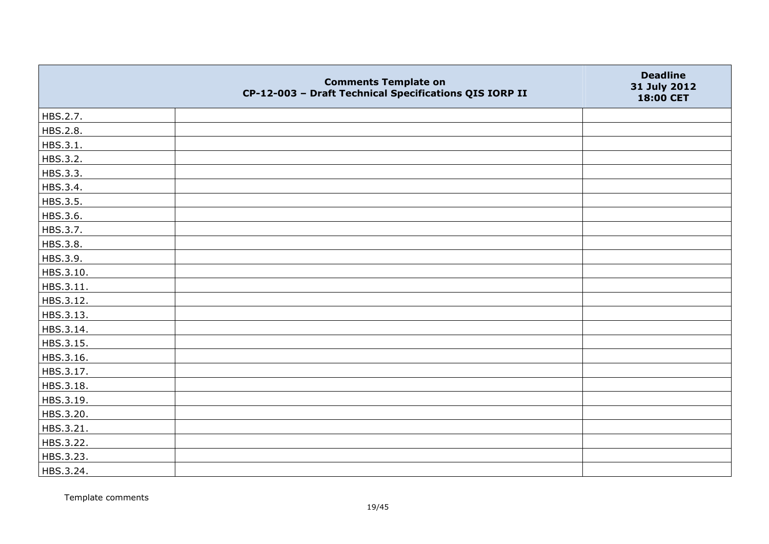|           | <b>Comments Template on</b><br>CP-12-003 - Draft Technical Specifications QIS IORP II | <b>Deadline</b><br>31 July 2012<br>18:00 CET |
|-----------|---------------------------------------------------------------------------------------|----------------------------------------------|
| HBS.2.7.  |                                                                                       |                                              |
| HBS.2.8.  |                                                                                       |                                              |
| HBS.3.1.  |                                                                                       |                                              |
| HBS.3.2.  |                                                                                       |                                              |
| HBS.3.3.  |                                                                                       |                                              |
| HBS.3.4.  |                                                                                       |                                              |
| HBS.3.5.  |                                                                                       |                                              |
| HBS.3.6.  |                                                                                       |                                              |
| HBS.3.7.  |                                                                                       |                                              |
| HBS.3.8.  |                                                                                       |                                              |
| HBS.3.9.  |                                                                                       |                                              |
| HBS.3.10. |                                                                                       |                                              |
| HBS.3.11. |                                                                                       |                                              |
| HBS.3.12. |                                                                                       |                                              |
| HBS.3.13. |                                                                                       |                                              |
| HBS.3.14. |                                                                                       |                                              |
| HBS.3.15. |                                                                                       |                                              |
| HBS.3.16. |                                                                                       |                                              |
| HBS.3.17. |                                                                                       |                                              |
| HBS.3.18. |                                                                                       |                                              |
| HBS.3.19. |                                                                                       |                                              |
| HBS.3.20. |                                                                                       |                                              |
| HBS.3.21. |                                                                                       |                                              |
| HBS.3.22. |                                                                                       |                                              |
| HBS.3.23. |                                                                                       |                                              |
| HBS.3.24. |                                                                                       |                                              |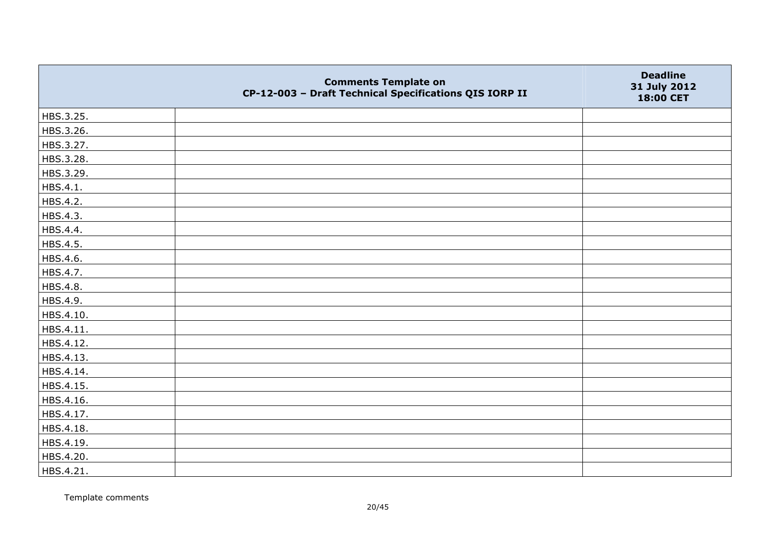|           | <b>Comments Template on</b><br>CP-12-003 - Draft Technical Specifications QIS IORP II | <b>Deadline</b><br>31 July 2012<br>18:00 CET |
|-----------|---------------------------------------------------------------------------------------|----------------------------------------------|
| HBS.3.25. |                                                                                       |                                              |
| HBS.3.26. |                                                                                       |                                              |
| HBS.3.27. |                                                                                       |                                              |
| HBS.3.28. |                                                                                       |                                              |
| HBS.3.29. |                                                                                       |                                              |
| HBS.4.1.  |                                                                                       |                                              |
| HBS.4.2.  |                                                                                       |                                              |
| HBS.4.3.  |                                                                                       |                                              |
| HBS.4.4.  |                                                                                       |                                              |
| HBS.4.5.  |                                                                                       |                                              |
| HBS.4.6.  |                                                                                       |                                              |
| HBS.4.7.  |                                                                                       |                                              |
| HBS.4.8.  |                                                                                       |                                              |
| HBS.4.9.  |                                                                                       |                                              |
| HBS.4.10. |                                                                                       |                                              |
| HBS.4.11. |                                                                                       |                                              |
| HBS.4.12. |                                                                                       |                                              |
| HBS.4.13. |                                                                                       |                                              |
| HBS.4.14. |                                                                                       |                                              |
| HBS.4.15. |                                                                                       |                                              |
| HBS.4.16. |                                                                                       |                                              |
| HBS.4.17. |                                                                                       |                                              |
| HBS.4.18. |                                                                                       |                                              |
| HBS.4.19. |                                                                                       |                                              |
| HBS.4.20. |                                                                                       |                                              |
| HBS.4.21. |                                                                                       |                                              |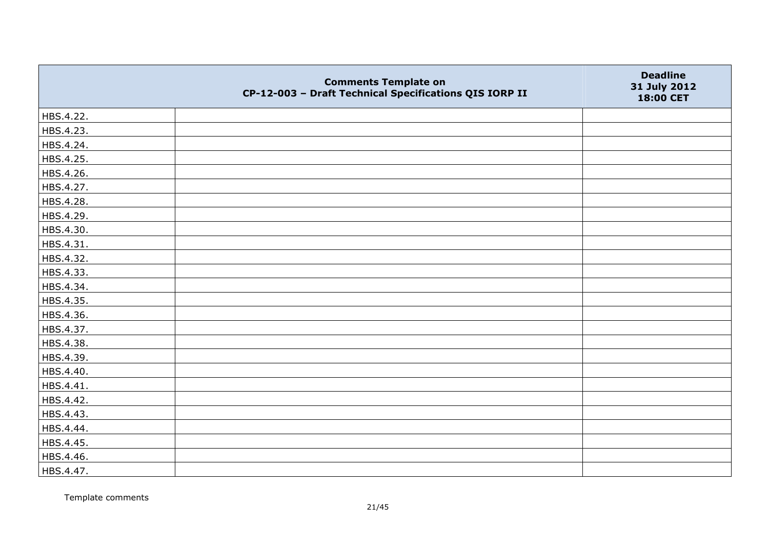|           | <b>Comments Template on</b><br>CP-12-003 - Draft Technical Specifications QIS IORP II | <b>Deadline</b><br>31 July 2012<br>18:00 CET |
|-----------|---------------------------------------------------------------------------------------|----------------------------------------------|
| HBS.4.22. |                                                                                       |                                              |
| HBS.4.23. |                                                                                       |                                              |
| HBS.4.24. |                                                                                       |                                              |
| HBS.4.25. |                                                                                       |                                              |
| HBS.4.26. |                                                                                       |                                              |
| HBS.4.27. |                                                                                       |                                              |
| HBS.4.28. |                                                                                       |                                              |
| HBS.4.29. |                                                                                       |                                              |
| HBS.4.30. |                                                                                       |                                              |
| HBS.4.31. |                                                                                       |                                              |
| HBS.4.32. |                                                                                       |                                              |
| HBS.4.33. |                                                                                       |                                              |
| HBS.4.34. |                                                                                       |                                              |
| HBS.4.35. |                                                                                       |                                              |
| HBS.4.36. |                                                                                       |                                              |
| HBS.4.37. |                                                                                       |                                              |
| HBS.4.38. |                                                                                       |                                              |
| HBS.4.39. |                                                                                       |                                              |
| HBS.4.40. |                                                                                       |                                              |
| HBS.4.41. |                                                                                       |                                              |
| HBS.4.42. |                                                                                       |                                              |
| HBS.4.43. |                                                                                       |                                              |
| HBS.4.44. |                                                                                       |                                              |
| HBS.4.45. |                                                                                       |                                              |
| HBS.4.46. |                                                                                       |                                              |
| HBS.4.47. |                                                                                       |                                              |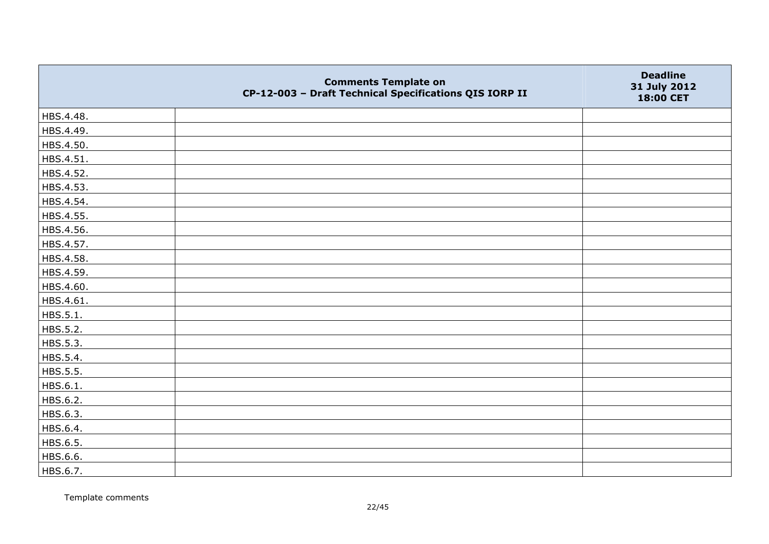|           | <b>Comments Template on</b><br>CP-12-003 - Draft Technical Specifications QIS IORP II | <b>Deadline</b><br>31 July 2012<br>18:00 CET |
|-----------|---------------------------------------------------------------------------------------|----------------------------------------------|
| HBS.4.48. |                                                                                       |                                              |
| HBS.4.49. |                                                                                       |                                              |
| HBS.4.50. |                                                                                       |                                              |
| HBS.4.51. |                                                                                       |                                              |
| HBS.4.52. |                                                                                       |                                              |
| HBS.4.53. |                                                                                       |                                              |
| HBS.4.54. |                                                                                       |                                              |
| HBS.4.55. |                                                                                       |                                              |
| HBS.4.56. |                                                                                       |                                              |
| HBS.4.57. |                                                                                       |                                              |
| HBS.4.58. |                                                                                       |                                              |
| HBS.4.59. |                                                                                       |                                              |
| HBS.4.60. |                                                                                       |                                              |
| HBS.4.61. |                                                                                       |                                              |
| HBS.5.1.  |                                                                                       |                                              |
| HBS.5.2.  |                                                                                       |                                              |
| HBS.5.3.  |                                                                                       |                                              |
| HBS.5.4.  |                                                                                       |                                              |
| HBS.5.5.  |                                                                                       |                                              |
| HBS.6.1.  |                                                                                       |                                              |
| HBS.6.2.  |                                                                                       |                                              |
| HBS.6.3.  |                                                                                       |                                              |
| HBS.6.4.  |                                                                                       |                                              |
| HBS.6.5.  |                                                                                       |                                              |
| HBS.6.6.  |                                                                                       |                                              |
| HBS.6.7.  |                                                                                       |                                              |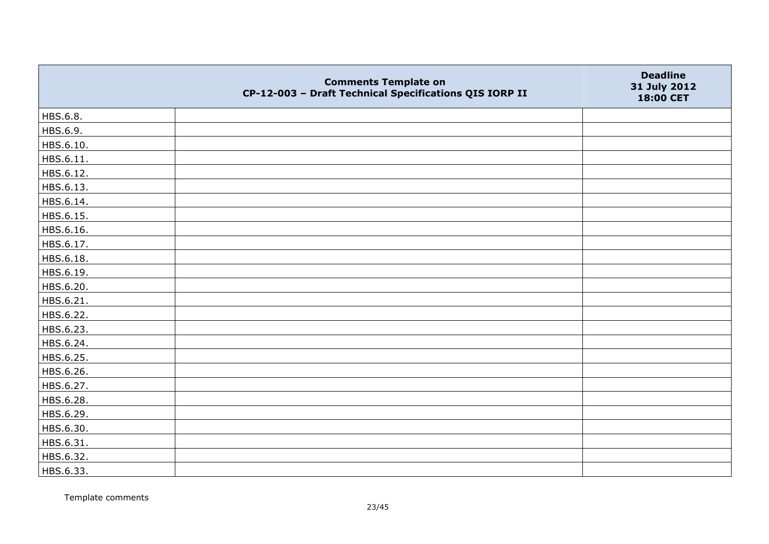|           | <b>Comments Template on</b><br>CP-12-003 - Draft Technical Specifications QIS IORP II | <b>Deadline</b><br>31 July 2012<br>18:00 CET |
|-----------|---------------------------------------------------------------------------------------|----------------------------------------------|
| HBS.6.8.  |                                                                                       |                                              |
| HBS.6.9.  |                                                                                       |                                              |
| HBS.6.10. |                                                                                       |                                              |
| HBS.6.11. |                                                                                       |                                              |
| HBS.6.12. |                                                                                       |                                              |
| HBS.6.13. |                                                                                       |                                              |
| HBS.6.14. |                                                                                       |                                              |
| HBS.6.15. |                                                                                       |                                              |
| HBS.6.16. |                                                                                       |                                              |
| HBS.6.17. |                                                                                       |                                              |
| HBS.6.18. |                                                                                       |                                              |
| HBS.6.19. |                                                                                       |                                              |
| HBS.6.20. |                                                                                       |                                              |
| HBS.6.21. |                                                                                       |                                              |
| HBS.6.22. |                                                                                       |                                              |
| HBS.6.23. |                                                                                       |                                              |
| HBS.6.24. |                                                                                       |                                              |
| HBS.6.25. |                                                                                       |                                              |
| HBS.6.26. |                                                                                       |                                              |
| HBS.6.27. |                                                                                       |                                              |
| HBS.6.28. |                                                                                       |                                              |
| HBS.6.29. |                                                                                       |                                              |
| HBS.6.30. |                                                                                       |                                              |
| HBS.6.31. |                                                                                       |                                              |
| HBS.6.32. |                                                                                       |                                              |
| HBS.6.33. |                                                                                       |                                              |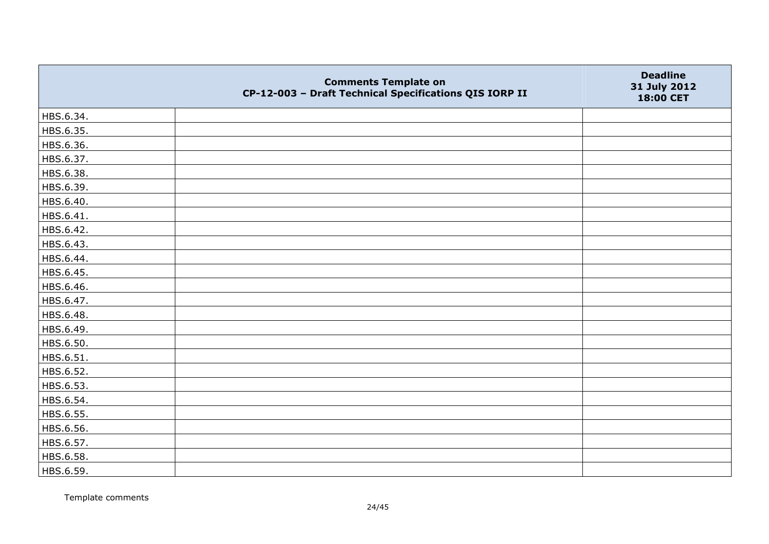|           | <b>Comments Template on</b><br>CP-12-003 - Draft Technical Specifications QIS IORP II | <b>Deadline</b><br>31 July 2012<br>18:00 CET |
|-----------|---------------------------------------------------------------------------------------|----------------------------------------------|
| HBS.6.34. |                                                                                       |                                              |
| HBS.6.35. |                                                                                       |                                              |
| HBS.6.36. |                                                                                       |                                              |
| HBS.6.37. |                                                                                       |                                              |
| HBS.6.38. |                                                                                       |                                              |
| HBS.6.39. |                                                                                       |                                              |
| HBS.6.40. |                                                                                       |                                              |
| HBS.6.41. |                                                                                       |                                              |
| HBS.6.42. |                                                                                       |                                              |
| HBS.6.43. |                                                                                       |                                              |
| HBS.6.44. |                                                                                       |                                              |
| HBS.6.45. |                                                                                       |                                              |
| HBS.6.46. |                                                                                       |                                              |
| HBS.6.47. |                                                                                       |                                              |
| HBS.6.48. |                                                                                       |                                              |
| HBS.6.49. |                                                                                       |                                              |
| HBS.6.50. |                                                                                       |                                              |
| HBS.6.51. |                                                                                       |                                              |
| HBS.6.52. |                                                                                       |                                              |
| HBS.6.53. |                                                                                       |                                              |
| HBS.6.54. |                                                                                       |                                              |
| HBS.6.55. |                                                                                       |                                              |
| HBS.6.56. |                                                                                       |                                              |
| HBS.6.57. |                                                                                       |                                              |
| HBS.6.58. |                                                                                       |                                              |
| HBS.6.59. |                                                                                       |                                              |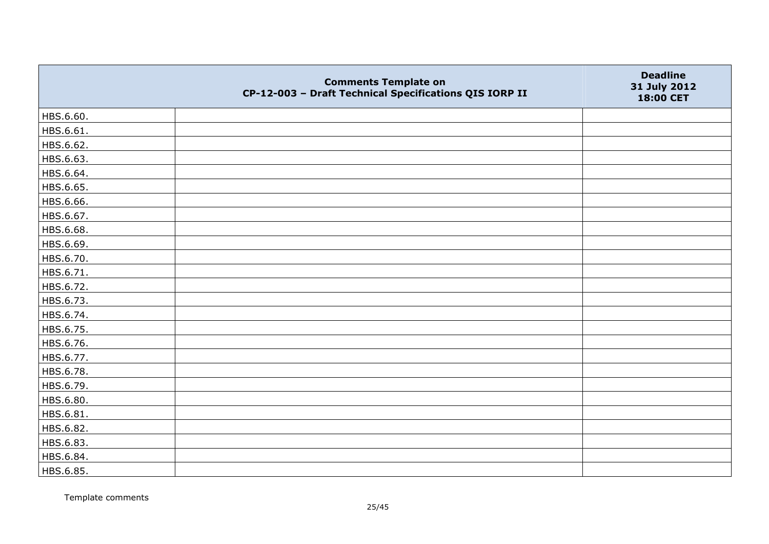|           | <b>Comments Template on</b><br>CP-12-003 - Draft Technical Specifications QIS IORP II | <b>Deadline</b><br>31 July 2012<br>18:00 CET |
|-----------|---------------------------------------------------------------------------------------|----------------------------------------------|
| HBS.6.60. |                                                                                       |                                              |
| HBS.6.61. |                                                                                       |                                              |
| HBS.6.62. |                                                                                       |                                              |
| HBS.6.63. |                                                                                       |                                              |
| HBS.6.64. |                                                                                       |                                              |
| HBS.6.65. |                                                                                       |                                              |
| HBS.6.66. |                                                                                       |                                              |
| HBS.6.67. |                                                                                       |                                              |
| HBS.6.68. |                                                                                       |                                              |
| HBS.6.69. |                                                                                       |                                              |
| HBS.6.70. |                                                                                       |                                              |
| HBS.6.71. |                                                                                       |                                              |
| HBS.6.72. |                                                                                       |                                              |
| HBS.6.73. |                                                                                       |                                              |
| HBS.6.74. |                                                                                       |                                              |
| HBS.6.75. |                                                                                       |                                              |
| HBS.6.76. |                                                                                       |                                              |
| HBS.6.77. |                                                                                       |                                              |
| HBS.6.78. |                                                                                       |                                              |
| HBS.6.79. |                                                                                       |                                              |
| HBS.6.80. |                                                                                       |                                              |
| HBS.6.81. |                                                                                       |                                              |
| HBS.6.82. |                                                                                       |                                              |
| HBS.6.83. |                                                                                       |                                              |
| HBS.6.84. |                                                                                       |                                              |
| HBS.6.85. |                                                                                       |                                              |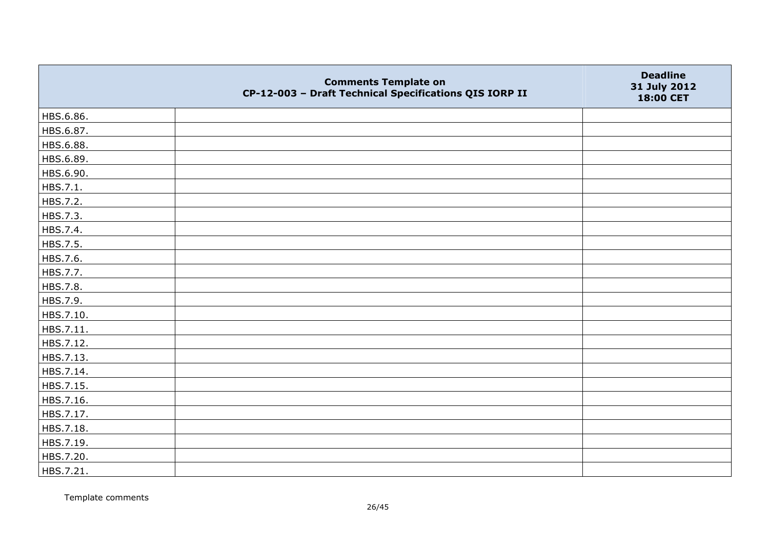|           | <b>Comments Template on</b><br>CP-12-003 - Draft Technical Specifications QIS IORP II | <b>Deadline</b><br>31 July 2012<br>18:00 CET |
|-----------|---------------------------------------------------------------------------------------|----------------------------------------------|
| HBS.6.86. |                                                                                       |                                              |
| HBS.6.87. |                                                                                       |                                              |
| HBS.6.88. |                                                                                       |                                              |
| HBS.6.89. |                                                                                       |                                              |
| HBS.6.90. |                                                                                       |                                              |
| HBS.7.1.  |                                                                                       |                                              |
| HBS.7.2.  |                                                                                       |                                              |
| HBS.7.3.  |                                                                                       |                                              |
| HBS.7.4.  |                                                                                       |                                              |
| HBS.7.5.  |                                                                                       |                                              |
| HBS.7.6.  |                                                                                       |                                              |
| HBS.7.7.  |                                                                                       |                                              |
| HBS.7.8.  |                                                                                       |                                              |
| HBS.7.9.  |                                                                                       |                                              |
| HBS.7.10. |                                                                                       |                                              |
| HBS.7.11. |                                                                                       |                                              |
| HBS.7.12. |                                                                                       |                                              |
| HBS.7.13. |                                                                                       |                                              |
| HBS.7.14. |                                                                                       |                                              |
| HBS.7.15. |                                                                                       |                                              |
| HBS.7.16. |                                                                                       |                                              |
| HBS.7.17. |                                                                                       |                                              |
| HBS.7.18. |                                                                                       |                                              |
| HBS.7.19. |                                                                                       |                                              |
| HBS.7.20. |                                                                                       |                                              |
| HBS.7.21. |                                                                                       |                                              |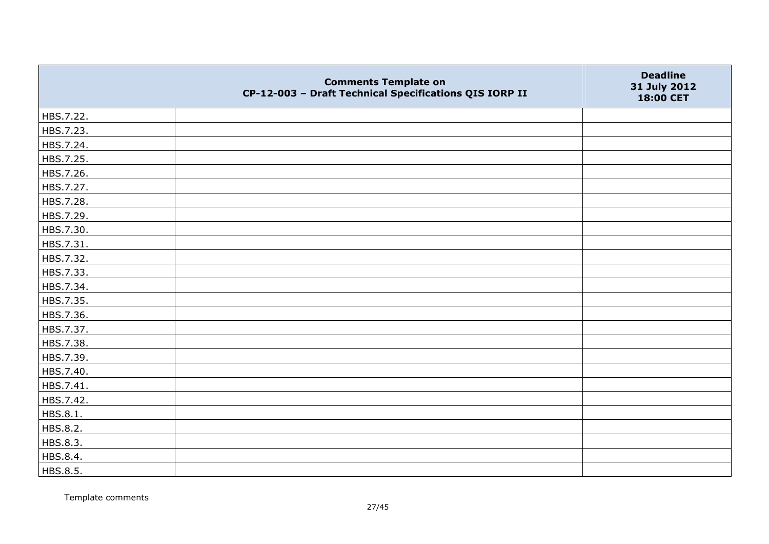|           | <b>Comments Template on</b><br>CP-12-003 - Draft Technical Specifications QIS IORP II | <b>Deadline</b><br>31 July 2012<br>18:00 CET |
|-----------|---------------------------------------------------------------------------------------|----------------------------------------------|
| HBS.7.22. |                                                                                       |                                              |
| HBS.7.23. |                                                                                       |                                              |
| HBS.7.24. |                                                                                       |                                              |
| HBS.7.25. |                                                                                       |                                              |
| HBS.7.26. |                                                                                       |                                              |
| HBS.7.27. |                                                                                       |                                              |
| HBS.7.28. |                                                                                       |                                              |
| HBS.7.29. |                                                                                       |                                              |
| HBS.7.30. |                                                                                       |                                              |
| HBS.7.31. |                                                                                       |                                              |
| HBS.7.32. |                                                                                       |                                              |
| HBS.7.33. |                                                                                       |                                              |
| HBS.7.34. |                                                                                       |                                              |
| HBS.7.35. |                                                                                       |                                              |
| HBS.7.36. |                                                                                       |                                              |
| HBS.7.37. |                                                                                       |                                              |
| HBS.7.38. |                                                                                       |                                              |
| HBS.7.39. |                                                                                       |                                              |
| HBS.7.40. |                                                                                       |                                              |
| HBS.7.41. |                                                                                       |                                              |
| HBS.7.42. |                                                                                       |                                              |
| HBS.8.1.  |                                                                                       |                                              |
| HBS.8.2.  |                                                                                       |                                              |
| HBS.8.3.  |                                                                                       |                                              |
| HBS.8.4.  |                                                                                       |                                              |
| HBS.8.5.  |                                                                                       |                                              |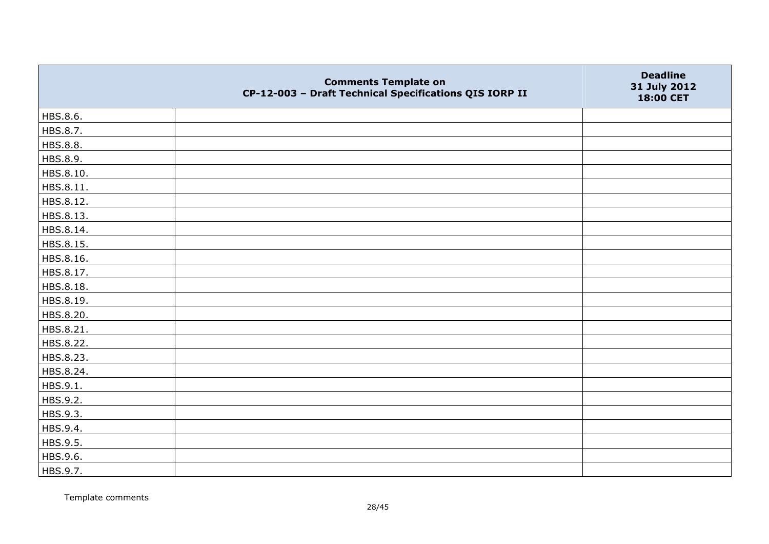|           | <b>Comments Template on</b><br>CP-12-003 - Draft Technical Specifications QIS IORP II | <b>Deadline</b><br>31 July 2012<br>18:00 CET |
|-----------|---------------------------------------------------------------------------------------|----------------------------------------------|
| HBS.8.6.  |                                                                                       |                                              |
| HBS.8.7.  |                                                                                       |                                              |
| HBS.8.8.  |                                                                                       |                                              |
| HBS.8.9.  |                                                                                       |                                              |
| HBS.8.10. |                                                                                       |                                              |
| HBS.8.11. |                                                                                       |                                              |
| HBS.8.12. |                                                                                       |                                              |
| HBS.8.13. |                                                                                       |                                              |
| HBS.8.14. |                                                                                       |                                              |
| HBS.8.15. |                                                                                       |                                              |
| HBS.8.16. |                                                                                       |                                              |
| HBS.8.17. |                                                                                       |                                              |
| HBS.8.18. |                                                                                       |                                              |
| HBS.8.19. |                                                                                       |                                              |
| HBS.8.20. |                                                                                       |                                              |
| HBS.8.21. |                                                                                       |                                              |
| HBS.8.22. |                                                                                       |                                              |
| HBS.8.23. |                                                                                       |                                              |
| HBS.8.24. |                                                                                       |                                              |
| HBS.9.1.  |                                                                                       |                                              |
| HBS.9.2.  |                                                                                       |                                              |
| HBS.9.3.  |                                                                                       |                                              |
| HBS.9.4.  |                                                                                       |                                              |
| HBS.9.5.  |                                                                                       |                                              |
| HBS.9.6.  |                                                                                       |                                              |
| HBS.9.7.  |                                                                                       |                                              |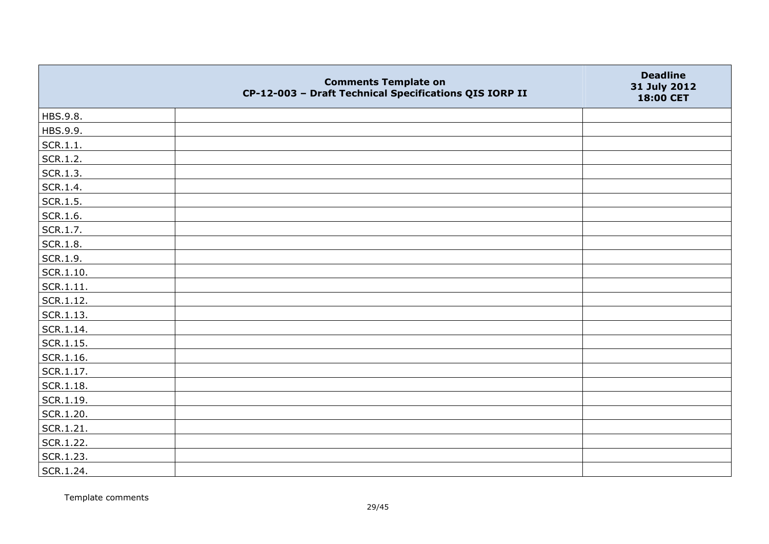|                   | <b>Comments Template on</b><br>CP-12-003 - Draft Technical Specifications QIS IORP II | <b>Deadline</b><br>31 July 2012<br>18:00 CET |
|-------------------|---------------------------------------------------------------------------------------|----------------------------------------------|
| HBS.9.8.          |                                                                                       |                                              |
| HBS.9.9.          |                                                                                       |                                              |
| SCR.1.1.          |                                                                                       |                                              |
| SCR.1.2.          |                                                                                       |                                              |
| SCR.1.3.          |                                                                                       |                                              |
| SCR.1.4.          |                                                                                       |                                              |
| SCR.1.5.          |                                                                                       |                                              |
| SCR.1.6.          |                                                                                       |                                              |
| SCR.1.7.          |                                                                                       |                                              |
| SCR.1.8.          |                                                                                       |                                              |
| SCR.1.9.          |                                                                                       |                                              |
| $\vert$ SCR.1.10. |                                                                                       |                                              |
| SCR.1.11.         |                                                                                       |                                              |
| SCR.1.12.         |                                                                                       |                                              |
| SCR.1.13.         |                                                                                       |                                              |
| SCR.1.14.         |                                                                                       |                                              |
| $\vert$ SCR.1.15. |                                                                                       |                                              |
| SCR.1.16.         |                                                                                       |                                              |
| SCR.1.17.         |                                                                                       |                                              |
| SCR.1.18.         |                                                                                       |                                              |
| $ $ SCR.1.19.     |                                                                                       |                                              |
| SCR.1.20.         |                                                                                       |                                              |
| SCR.1.21.         |                                                                                       |                                              |
| SCR.1.22.         |                                                                                       |                                              |
| SCR.1.23.         |                                                                                       |                                              |
| SCR.1.24.         |                                                                                       |                                              |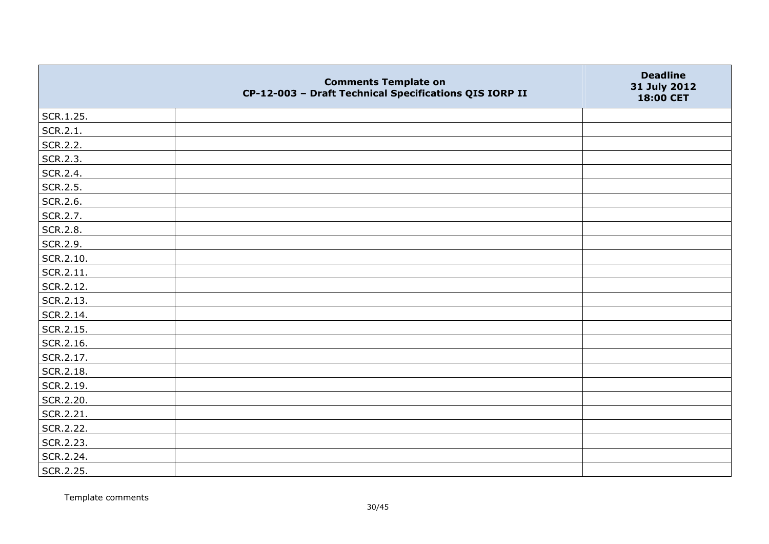|           | <b>Comments Template on</b><br>CP-12-003 - Draft Technical Specifications QIS IORP II | <b>Deadline</b><br>31 July 2012<br>18:00 CET |
|-----------|---------------------------------------------------------------------------------------|----------------------------------------------|
| SCR.1.25. |                                                                                       |                                              |
| SCR.2.1.  |                                                                                       |                                              |
| SCR.2.2.  |                                                                                       |                                              |
| SCR.2.3.  |                                                                                       |                                              |
| SCR.2.4.  |                                                                                       |                                              |
| SCR.2.5.  |                                                                                       |                                              |
| SCR.2.6.  |                                                                                       |                                              |
| SCR.2.7.  |                                                                                       |                                              |
| SCR.2.8.  |                                                                                       |                                              |
| SCR.2.9.  |                                                                                       |                                              |
| SCR.2.10. |                                                                                       |                                              |
| SCR.2.11. |                                                                                       |                                              |
| SCR.2.12. |                                                                                       |                                              |
| SCR.2.13. |                                                                                       |                                              |
| SCR.2.14. |                                                                                       |                                              |
| SCR.2.15. |                                                                                       |                                              |
| SCR.2.16. |                                                                                       |                                              |
| SCR.2.17. |                                                                                       |                                              |
| SCR.2.18. |                                                                                       |                                              |
| SCR.2.19. |                                                                                       |                                              |
| SCR.2.20. |                                                                                       |                                              |
| SCR.2.21. |                                                                                       |                                              |
| SCR.2.22. |                                                                                       |                                              |
| SCR.2.23. |                                                                                       |                                              |
| SCR.2.24. |                                                                                       |                                              |
| SCR.2.25. |                                                                                       |                                              |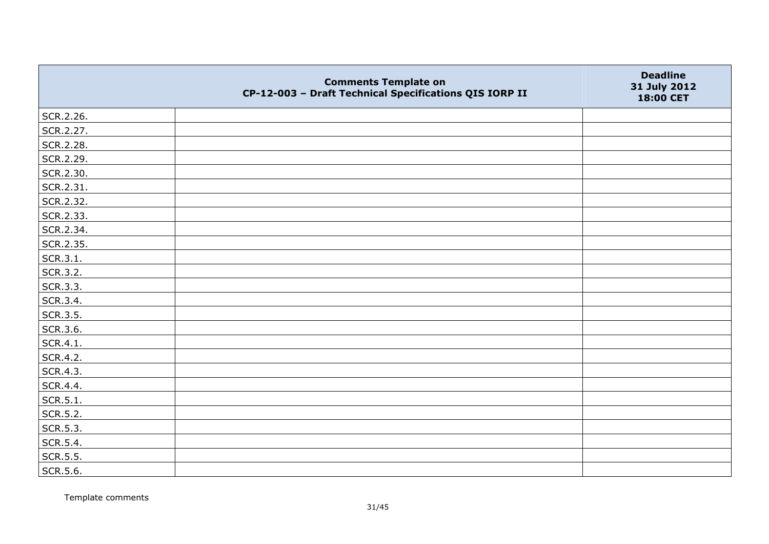|           | <b>Comments Template on</b><br>CP-12-003 - Draft Technical Specifications QIS IORP II | <b>Deadline</b><br>31 July 2012<br>18:00 CET |
|-----------|---------------------------------------------------------------------------------------|----------------------------------------------|
| SCR.2.26. |                                                                                       |                                              |
| SCR.2.27. |                                                                                       |                                              |
| SCR.2.28. |                                                                                       |                                              |
| SCR.2.29. |                                                                                       |                                              |
| SCR.2.30. |                                                                                       |                                              |
| SCR.2.31. |                                                                                       |                                              |
| SCR.2.32. |                                                                                       |                                              |
| SCR.2.33. |                                                                                       |                                              |
| SCR.2.34. |                                                                                       |                                              |
| SCR.2.35. |                                                                                       |                                              |
| SCR.3.1.  |                                                                                       |                                              |
| SCR.3.2.  |                                                                                       |                                              |
| SCR.3.3.  |                                                                                       |                                              |
| SCR.3.4.  |                                                                                       |                                              |
| SCR.3.5.  |                                                                                       |                                              |
| SCR.3.6.  |                                                                                       |                                              |
| SCR.4.1.  |                                                                                       |                                              |
| SCR.4.2.  |                                                                                       |                                              |
| SCR.4.3.  |                                                                                       |                                              |
| SCR.4.4.  |                                                                                       |                                              |
| SCR.5.1.  |                                                                                       |                                              |
| SCR.5.2.  |                                                                                       |                                              |
| SCR.5.3.  |                                                                                       |                                              |
| SCR.5.4.  |                                                                                       |                                              |
| SCR.5.5.  |                                                                                       |                                              |
| SCR.5.6.  |                                                                                       |                                              |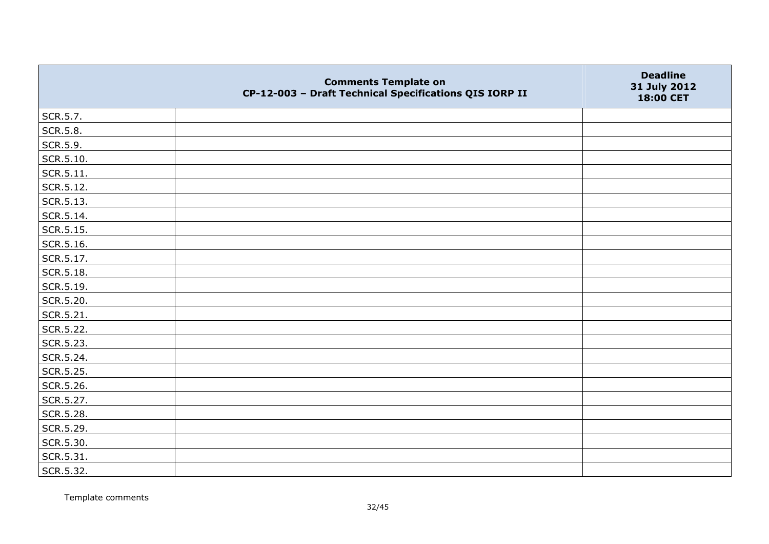|                   | <b>Comments Template on</b><br>CP-12-003 - Draft Technical Specifications QIS IORP II | <b>Deadline</b><br>31 July 2012<br>18:00 CET |
|-------------------|---------------------------------------------------------------------------------------|----------------------------------------------|
| SCR.5.7.          |                                                                                       |                                              |
| SCR.5.8.          |                                                                                       |                                              |
| SCR.5.9.          |                                                                                       |                                              |
| $\vert$ SCR.5.10. |                                                                                       |                                              |
| SCR.5.11.         |                                                                                       |                                              |
| SCR.5.12.         |                                                                                       |                                              |
| SCR.5.13.         |                                                                                       |                                              |
| SCR.5.14.         |                                                                                       |                                              |
| SCR.5.15.         |                                                                                       |                                              |
| SCR.5.16.         |                                                                                       |                                              |
| SCR.5.17.         |                                                                                       |                                              |
| SCR.5.18.         |                                                                                       |                                              |
| SCR.5.19.         |                                                                                       |                                              |
| SCR.5.20.         |                                                                                       |                                              |
| $ $ SCR.5.21.     |                                                                                       |                                              |
| SCR.5.22.         |                                                                                       |                                              |
| SCR.5.23.         |                                                                                       |                                              |
| SCR.5.24.         |                                                                                       |                                              |
| SCR.5.25.         |                                                                                       |                                              |
| SCR.5.26.         |                                                                                       |                                              |
| SCR.5.27.         |                                                                                       |                                              |
| SCR.5.28.         |                                                                                       |                                              |
| SCR.5.29.         |                                                                                       |                                              |
| SCR.5.30.         |                                                                                       |                                              |
| SCR.5.31.         |                                                                                       |                                              |
| SCR.5.32.         |                                                                                       |                                              |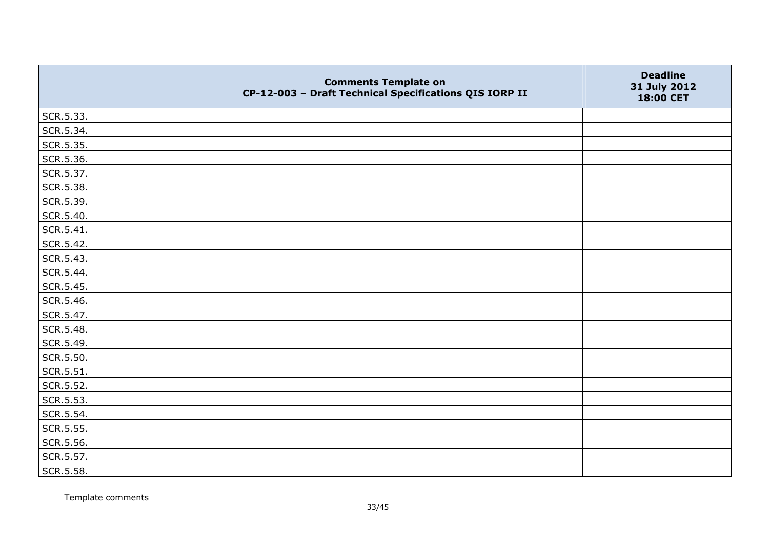|           | <b>Comments Template on</b><br>CP-12-003 - Draft Technical Specifications QIS IORP II | <b>Deadline</b><br>31 July 2012<br>18:00 CET |
|-----------|---------------------------------------------------------------------------------------|----------------------------------------------|
| SCR.5.33. |                                                                                       |                                              |
| SCR.5.34. |                                                                                       |                                              |
| SCR.5.35. |                                                                                       |                                              |
| SCR.5.36. |                                                                                       |                                              |
| SCR.5.37. |                                                                                       |                                              |
| SCR.5.38. |                                                                                       |                                              |
| SCR.5.39. |                                                                                       |                                              |
| SCR.5.40. |                                                                                       |                                              |
| SCR.5.41. |                                                                                       |                                              |
| SCR.5.42. |                                                                                       |                                              |
| SCR.5.43. |                                                                                       |                                              |
| SCR.5.44. |                                                                                       |                                              |
| SCR.5.45. |                                                                                       |                                              |
| SCR.5.46. |                                                                                       |                                              |
| SCR.5.47. |                                                                                       |                                              |
| SCR.5.48. |                                                                                       |                                              |
| SCR.5.49. |                                                                                       |                                              |
| SCR.5.50. |                                                                                       |                                              |
| SCR.5.51. |                                                                                       |                                              |
| SCR.5.52. |                                                                                       |                                              |
| SCR.5.53. |                                                                                       |                                              |
| SCR.5.54. |                                                                                       |                                              |
| SCR.5.55. |                                                                                       |                                              |
| SCR.5.56. |                                                                                       |                                              |
| SCR.5.57. |                                                                                       |                                              |
| SCR.5.58. |                                                                                       |                                              |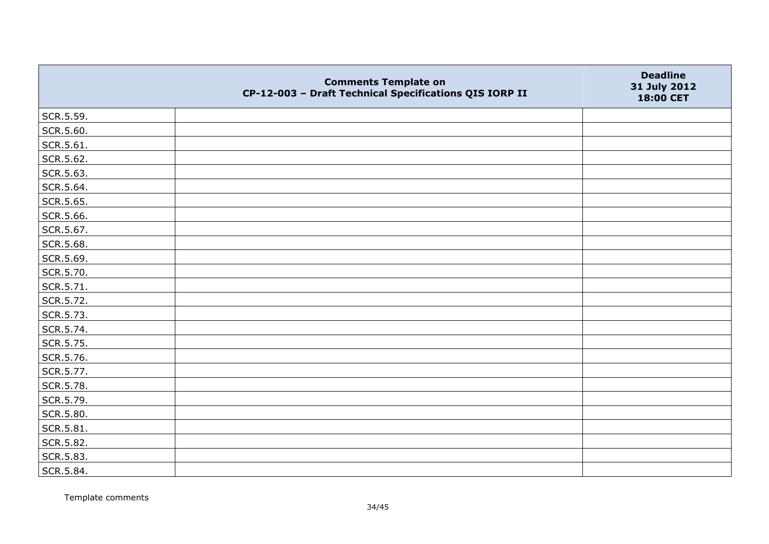|           | <b>Comments Template on</b><br>CP-12-003 - Draft Technical Specifications QIS IORP II | <b>Deadline</b><br>31 July 2012<br>18:00 CET |
|-----------|---------------------------------------------------------------------------------------|----------------------------------------------|
| SCR.5.59. |                                                                                       |                                              |
| SCR.5.60. |                                                                                       |                                              |
| SCR.5.61. |                                                                                       |                                              |
| SCR.5.62. |                                                                                       |                                              |
| SCR.5.63. |                                                                                       |                                              |
| SCR.5.64. |                                                                                       |                                              |
| SCR.5.65. |                                                                                       |                                              |
| SCR.5.66. |                                                                                       |                                              |
| SCR.5.67. |                                                                                       |                                              |
| SCR.5.68. |                                                                                       |                                              |
| SCR.5.69. |                                                                                       |                                              |
| SCR.5.70. |                                                                                       |                                              |
| SCR.5.71. |                                                                                       |                                              |
| SCR.5.72. |                                                                                       |                                              |
| SCR.5.73. |                                                                                       |                                              |
| SCR.5.74. |                                                                                       |                                              |
| SCR.5.75. |                                                                                       |                                              |
| SCR.5.76. |                                                                                       |                                              |
| SCR.5.77. |                                                                                       |                                              |
| SCR.5.78. |                                                                                       |                                              |
| SCR.5.79. |                                                                                       |                                              |
| SCR.5.80. |                                                                                       |                                              |
| SCR.5.81. |                                                                                       |                                              |
| SCR.5.82. |                                                                                       |                                              |
| SCR.5.83. |                                                                                       |                                              |
| SCR.5.84. |                                                                                       |                                              |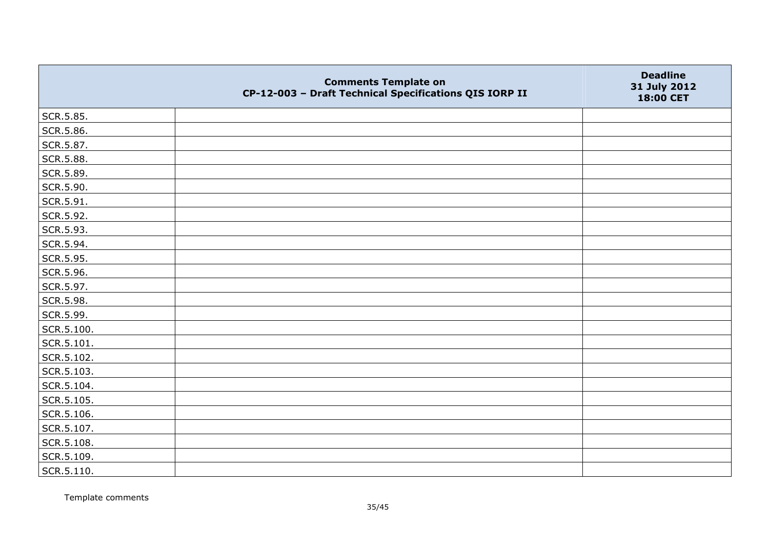|            | <b>Comments Template on</b><br>CP-12-003 - Draft Technical Specifications QIS IORP II | <b>Deadline</b><br>31 July 2012<br>18:00 CET |
|------------|---------------------------------------------------------------------------------------|----------------------------------------------|
| SCR.5.85.  |                                                                                       |                                              |
| SCR.5.86.  |                                                                                       |                                              |
| SCR.5.87.  |                                                                                       |                                              |
| SCR.5.88.  |                                                                                       |                                              |
| SCR.5.89.  |                                                                                       |                                              |
| SCR.5.90.  |                                                                                       |                                              |
| SCR.5.91.  |                                                                                       |                                              |
| SCR.5.92.  |                                                                                       |                                              |
| SCR.5.93.  |                                                                                       |                                              |
| SCR.5.94.  |                                                                                       |                                              |
| SCR.5.95.  |                                                                                       |                                              |
| SCR.5.96.  |                                                                                       |                                              |
| SCR.5.97.  |                                                                                       |                                              |
| SCR.5.98.  |                                                                                       |                                              |
| SCR.5.99.  |                                                                                       |                                              |
| SCR.5.100. |                                                                                       |                                              |
| SCR.5.101. |                                                                                       |                                              |
| SCR.5.102. |                                                                                       |                                              |
| SCR.5.103. |                                                                                       |                                              |
| SCR.5.104. |                                                                                       |                                              |
| SCR.5.105. |                                                                                       |                                              |
| SCR.5.106. |                                                                                       |                                              |
| SCR.5.107. |                                                                                       |                                              |
| SCR.5.108. |                                                                                       |                                              |
| SCR.5.109. |                                                                                       |                                              |
| SCR.5.110. |                                                                                       |                                              |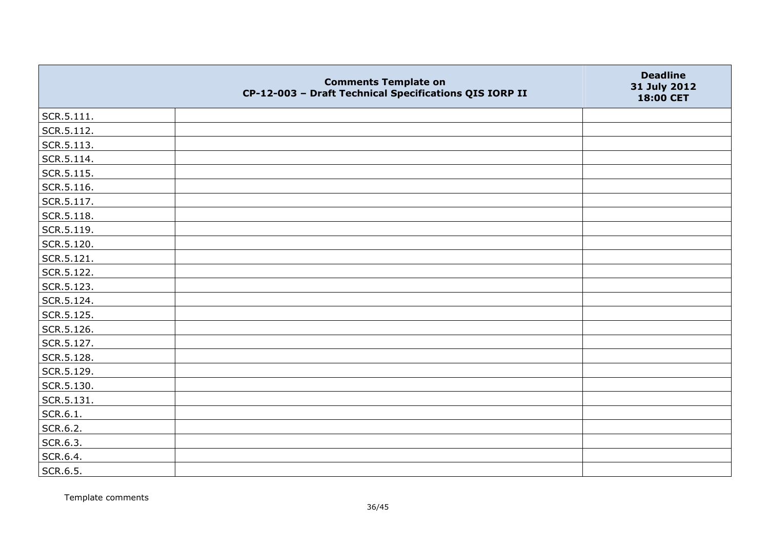|                | <b>Comments Template on</b><br>CP-12-003 - Draft Technical Specifications QIS IORP II | <b>Deadline</b><br>31 July 2012<br>18:00 CET |
|----------------|---------------------------------------------------------------------------------------|----------------------------------------------|
| $ $ SCR.5.111. |                                                                                       |                                              |
| SCR.5.112.     |                                                                                       |                                              |
| SCR.5.113.     |                                                                                       |                                              |
| SCR.5.114.     |                                                                                       |                                              |
| SCR.5.115.     |                                                                                       |                                              |
| SCR.5.116.     |                                                                                       |                                              |
| SCR.5.117.     |                                                                                       |                                              |
| SCR.5.118.     |                                                                                       |                                              |
| SCR.5.119.     |                                                                                       |                                              |
| SCR.5.120.     |                                                                                       |                                              |
| SCR.5.121.     |                                                                                       |                                              |
| SCR.5.122.     |                                                                                       |                                              |
| SCR.5.123.     |                                                                                       |                                              |
| SCR.5.124.     |                                                                                       |                                              |
| SCR.5.125.     |                                                                                       |                                              |
| SCR.5.126.     |                                                                                       |                                              |
| SCR.5.127.     |                                                                                       |                                              |
| SCR.5.128.     |                                                                                       |                                              |
| SCR.5.129.     |                                                                                       |                                              |
| SCR.5.130.     |                                                                                       |                                              |
| SCR.5.131.     |                                                                                       |                                              |
| SCR.6.1.       |                                                                                       |                                              |
| SCR.6.2.       |                                                                                       |                                              |
| SCR.6.3.       |                                                                                       |                                              |
| SCR.6.4.       |                                                                                       |                                              |
| SCR.6.5.       |                                                                                       |                                              |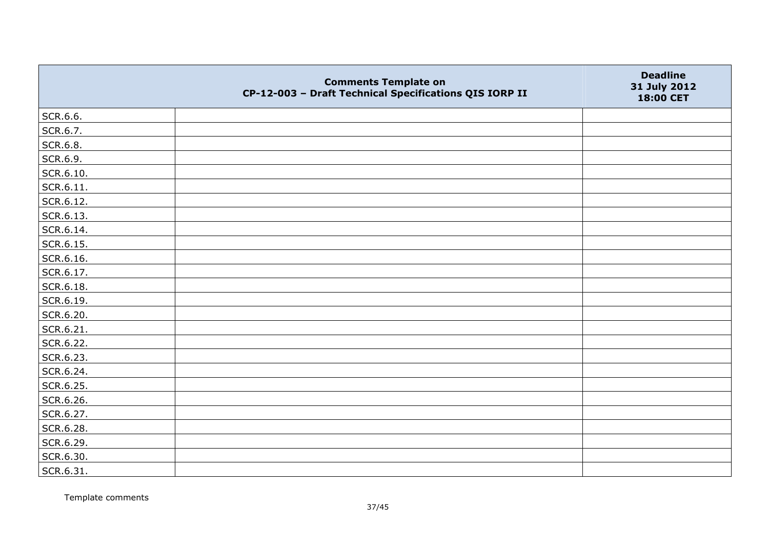|                   | <b>Comments Template on</b><br>CP-12-003 - Draft Technical Specifications QIS IORP II | <b>Deadline</b><br>31 July 2012<br>18:00 CET |
|-------------------|---------------------------------------------------------------------------------------|----------------------------------------------|
| SCR.6.6.          |                                                                                       |                                              |
| SCR.6.7.          |                                                                                       |                                              |
| SCR.6.8.          |                                                                                       |                                              |
| SCR.6.9.          |                                                                                       |                                              |
| SCR.6.10.         |                                                                                       |                                              |
| $\vert$ SCR.6.11. |                                                                                       |                                              |
| SCR.6.12.         |                                                                                       |                                              |
| SCR.6.13.         |                                                                                       |                                              |
| SCR.6.14.         |                                                                                       |                                              |
| SCR.6.15.         |                                                                                       |                                              |
| SCR.6.16.         |                                                                                       |                                              |
| SCR.6.17.         |                                                                                       |                                              |
| SCR.6.18.         |                                                                                       |                                              |
| SCR.6.19.         |                                                                                       |                                              |
| SCR.6.20.         |                                                                                       |                                              |
| SCR.6.21.         |                                                                                       |                                              |
| SCR.6.22.         |                                                                                       |                                              |
| SCR.6.23.         |                                                                                       |                                              |
| SCR.6.24.         |                                                                                       |                                              |
| SCR.6.25.         |                                                                                       |                                              |
| SCR.6.26.         |                                                                                       |                                              |
| SCR.6.27.         |                                                                                       |                                              |
| SCR.6.28.         |                                                                                       |                                              |
| SCR.6.29.         |                                                                                       |                                              |
| SCR.6.30.         |                                                                                       |                                              |
| SCR.6.31.         |                                                                                       |                                              |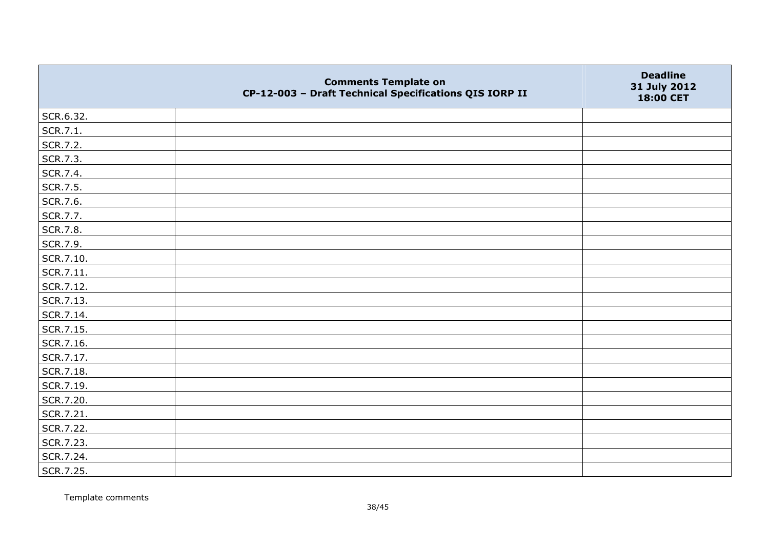|           | <b>Comments Template on</b><br>CP-12-003 - Draft Technical Specifications QIS IORP II | <b>Deadline</b><br>31 July 2012<br>18:00 CET |
|-----------|---------------------------------------------------------------------------------------|----------------------------------------------|
| SCR.6.32. |                                                                                       |                                              |
| SCR.7.1.  |                                                                                       |                                              |
| SCR.7.2.  |                                                                                       |                                              |
| SCR.7.3.  |                                                                                       |                                              |
| SCR.7.4.  |                                                                                       |                                              |
| SCR.7.5.  |                                                                                       |                                              |
| SCR.7.6.  |                                                                                       |                                              |
| SCR.7.7.  |                                                                                       |                                              |
| SCR.7.8.  |                                                                                       |                                              |
| SCR.7.9.  |                                                                                       |                                              |
| SCR.7.10. |                                                                                       |                                              |
| SCR.7.11. |                                                                                       |                                              |
| SCR.7.12. |                                                                                       |                                              |
| SCR.7.13. |                                                                                       |                                              |
| SCR.7.14. |                                                                                       |                                              |
| SCR.7.15. |                                                                                       |                                              |
| SCR.7.16. |                                                                                       |                                              |
| SCR.7.17. |                                                                                       |                                              |
| SCR.7.18. |                                                                                       |                                              |
| SCR.7.19. |                                                                                       |                                              |
| SCR.7.20. |                                                                                       |                                              |
| SCR.7.21. |                                                                                       |                                              |
| SCR.7.22. |                                                                                       |                                              |
| SCR.7.23. |                                                                                       |                                              |
| SCR.7.24. |                                                                                       |                                              |
| SCR.7.25. |                                                                                       |                                              |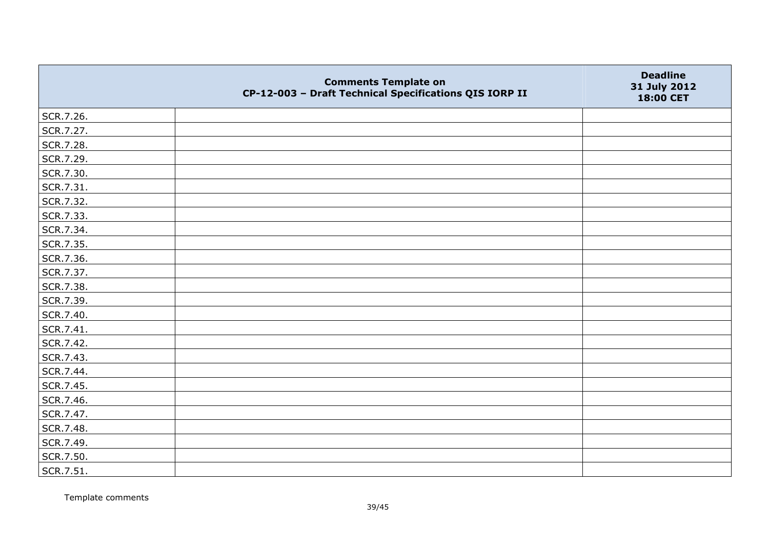|           | <b>Comments Template on</b><br>CP-12-003 - Draft Technical Specifications QIS IORP II | <b>Deadline</b><br>31 July 2012<br>18:00 CET |
|-----------|---------------------------------------------------------------------------------------|----------------------------------------------|
| SCR.7.26. |                                                                                       |                                              |
| SCR.7.27. |                                                                                       |                                              |
| SCR.7.28. |                                                                                       |                                              |
| SCR.7.29. |                                                                                       |                                              |
| SCR.7.30. |                                                                                       |                                              |
| SCR.7.31. |                                                                                       |                                              |
| SCR.7.32. |                                                                                       |                                              |
| SCR.7.33. |                                                                                       |                                              |
| SCR.7.34. |                                                                                       |                                              |
| SCR.7.35. |                                                                                       |                                              |
| SCR.7.36. |                                                                                       |                                              |
| SCR.7.37. |                                                                                       |                                              |
| SCR.7.38. |                                                                                       |                                              |
| SCR.7.39. |                                                                                       |                                              |
| SCR.7.40. |                                                                                       |                                              |
| SCR.7.41. |                                                                                       |                                              |
| SCR.7.42. |                                                                                       |                                              |
| SCR.7.43. |                                                                                       |                                              |
| SCR.7.44. |                                                                                       |                                              |
| SCR.7.45. |                                                                                       |                                              |
| SCR.7.46. |                                                                                       |                                              |
| SCR.7.47. |                                                                                       |                                              |
| SCR.7.48. |                                                                                       |                                              |
| SCR.7.49. |                                                                                       |                                              |
| SCR.7.50. |                                                                                       |                                              |
| SCR.7.51. |                                                                                       |                                              |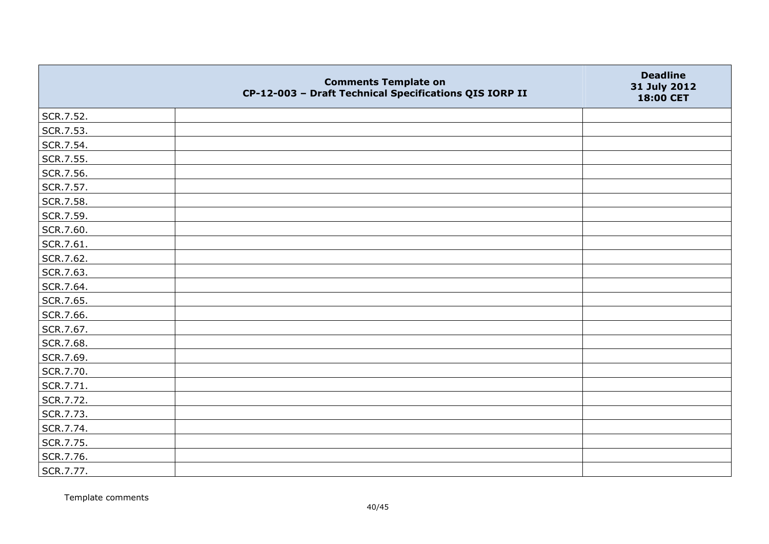|           | <b>Comments Template on</b><br>CP-12-003 - Draft Technical Specifications QIS IORP II | <b>Deadline</b><br>31 July 2012<br>18:00 CET |
|-----------|---------------------------------------------------------------------------------------|----------------------------------------------|
| SCR.7.52. |                                                                                       |                                              |
| SCR.7.53. |                                                                                       |                                              |
| SCR.7.54. |                                                                                       |                                              |
| SCR.7.55. |                                                                                       |                                              |
| SCR.7.56. |                                                                                       |                                              |
| SCR.7.57. |                                                                                       |                                              |
| SCR.7.58. |                                                                                       |                                              |
| SCR.7.59. |                                                                                       |                                              |
| SCR.7.60. |                                                                                       |                                              |
| SCR.7.61. |                                                                                       |                                              |
| SCR.7.62. |                                                                                       |                                              |
| SCR.7.63. |                                                                                       |                                              |
| SCR.7.64. |                                                                                       |                                              |
| SCR.7.65. |                                                                                       |                                              |
| SCR.7.66. |                                                                                       |                                              |
| SCR.7.67. |                                                                                       |                                              |
| SCR.7.68. |                                                                                       |                                              |
| SCR.7.69. |                                                                                       |                                              |
| SCR.7.70. |                                                                                       |                                              |
| SCR.7.71. |                                                                                       |                                              |
| SCR.7.72. |                                                                                       |                                              |
| SCR.7.73. |                                                                                       |                                              |
| SCR.7.74. |                                                                                       |                                              |
| SCR.7.75. |                                                                                       |                                              |
| SCR.7.76. |                                                                                       |                                              |
| SCR.7.77. |                                                                                       |                                              |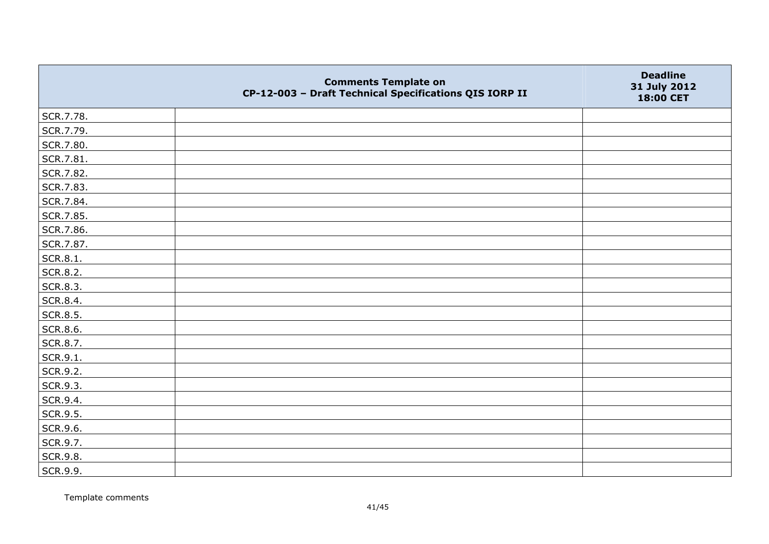|           | <b>Comments Template on</b><br>CP-12-003 - Draft Technical Specifications QIS IORP II | <b>Deadline</b><br>31 July 2012<br>18:00 CET |
|-----------|---------------------------------------------------------------------------------------|----------------------------------------------|
| SCR.7.78. |                                                                                       |                                              |
| SCR.7.79. |                                                                                       |                                              |
| SCR.7.80. |                                                                                       |                                              |
| SCR.7.81. |                                                                                       |                                              |
| SCR.7.82. |                                                                                       |                                              |
| SCR.7.83. |                                                                                       |                                              |
| SCR.7.84. |                                                                                       |                                              |
| SCR.7.85. |                                                                                       |                                              |
| SCR.7.86. |                                                                                       |                                              |
| SCR.7.87. |                                                                                       |                                              |
| SCR.8.1.  |                                                                                       |                                              |
| SCR.8.2.  |                                                                                       |                                              |
| SCR.8.3.  |                                                                                       |                                              |
| SCR.8.4.  |                                                                                       |                                              |
| SCR.8.5.  |                                                                                       |                                              |
| SCR.8.6.  |                                                                                       |                                              |
| SCR.8.7.  |                                                                                       |                                              |
| SCR.9.1.  |                                                                                       |                                              |
| SCR.9.2.  |                                                                                       |                                              |
| SCR.9.3.  |                                                                                       |                                              |
| SCR.9.4.  |                                                                                       |                                              |
| SCR.9.5.  |                                                                                       |                                              |
| SCR.9.6.  |                                                                                       |                                              |
| SCR.9.7.  |                                                                                       |                                              |
| SCR.9.8.  |                                                                                       |                                              |
| SCR.9.9.  |                                                                                       |                                              |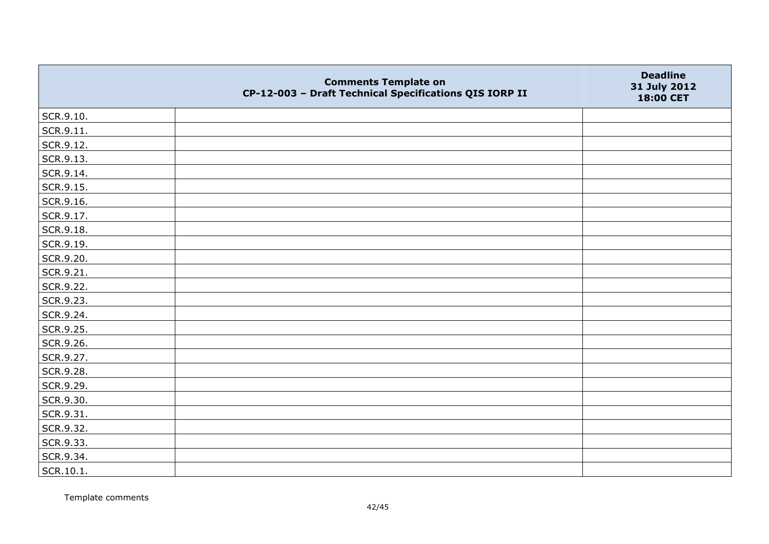|           | <b>Comments Template on</b><br>CP-12-003 - Draft Technical Specifications QIS IORP II | <b>Deadline</b><br>31 July 2012<br>18:00 CET |
|-----------|---------------------------------------------------------------------------------------|----------------------------------------------|
| SCR.9.10. |                                                                                       |                                              |
| SCR.9.11. |                                                                                       |                                              |
| SCR.9.12. |                                                                                       |                                              |
| SCR.9.13. |                                                                                       |                                              |
| SCR.9.14. |                                                                                       |                                              |
| SCR.9.15. |                                                                                       |                                              |
| SCR.9.16. |                                                                                       |                                              |
| SCR.9.17. |                                                                                       |                                              |
| SCR.9.18. |                                                                                       |                                              |
| SCR.9.19. |                                                                                       |                                              |
| SCR.9.20. |                                                                                       |                                              |
| SCR.9.21. |                                                                                       |                                              |
| SCR.9.22. |                                                                                       |                                              |
| SCR.9.23. |                                                                                       |                                              |
| SCR.9.24. |                                                                                       |                                              |
| SCR.9.25. |                                                                                       |                                              |
| SCR.9.26. |                                                                                       |                                              |
| SCR.9.27. |                                                                                       |                                              |
| SCR.9.28. |                                                                                       |                                              |
| SCR.9.29. |                                                                                       |                                              |
| SCR.9.30. |                                                                                       |                                              |
| SCR.9.31. |                                                                                       |                                              |
| SCR.9.32. |                                                                                       |                                              |
| SCR.9.33. |                                                                                       |                                              |
| SCR.9.34. |                                                                                       |                                              |
| SCR.10.1. |                                                                                       |                                              |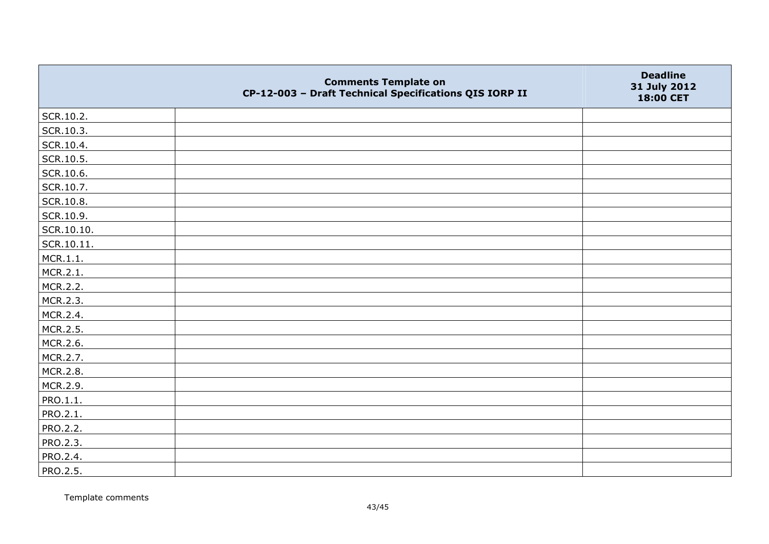|            | <b>Comments Template on</b><br>CP-12-003 - Draft Technical Specifications QIS IORP II | <b>Deadline</b><br>31 July 2012<br>18:00 CET |
|------------|---------------------------------------------------------------------------------------|----------------------------------------------|
| SCR.10.2.  |                                                                                       |                                              |
| SCR.10.3.  |                                                                                       |                                              |
| SCR.10.4.  |                                                                                       |                                              |
| SCR.10.5.  |                                                                                       |                                              |
| SCR.10.6.  |                                                                                       |                                              |
| SCR.10.7.  |                                                                                       |                                              |
| SCR.10.8.  |                                                                                       |                                              |
| SCR.10.9.  |                                                                                       |                                              |
| SCR.10.10. |                                                                                       |                                              |
| SCR.10.11. |                                                                                       |                                              |
| MCR.1.1.   |                                                                                       |                                              |
| MCR.2.1.   |                                                                                       |                                              |
| MCR.2.2.   |                                                                                       |                                              |
| MCR.2.3.   |                                                                                       |                                              |
| MCR.2.4.   |                                                                                       |                                              |
| MCR.2.5.   |                                                                                       |                                              |
| MCR.2.6.   |                                                                                       |                                              |
| MCR.2.7.   |                                                                                       |                                              |
| MCR.2.8.   |                                                                                       |                                              |
| MCR.2.9.   |                                                                                       |                                              |
| PRO.1.1.   |                                                                                       |                                              |
| PRO.2.1.   |                                                                                       |                                              |
| PRO.2.2.   |                                                                                       |                                              |
| PRO.2.3.   |                                                                                       |                                              |
| PRO.2.4.   |                                                                                       |                                              |
| PRO.2.5.   |                                                                                       |                                              |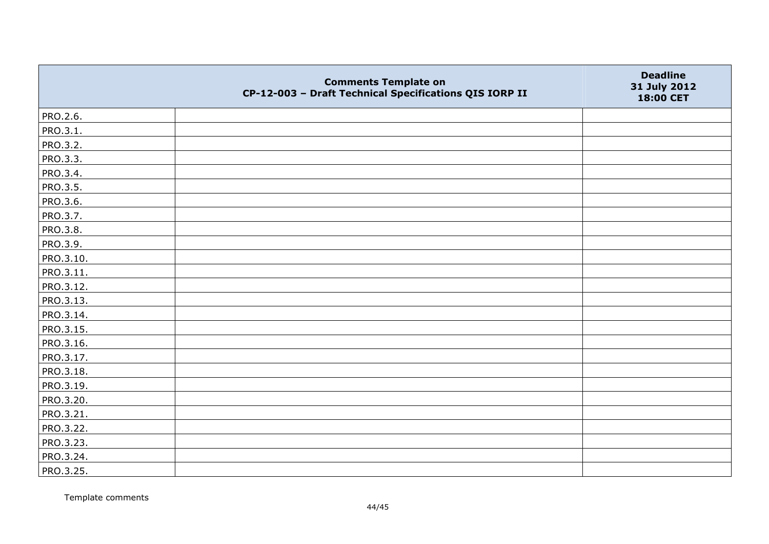|           | <b>Comments Template on</b><br>CP-12-003 - Draft Technical Specifications QIS IORP II | <b>Deadline</b><br>31 July 2012<br>18:00 CET |
|-----------|---------------------------------------------------------------------------------------|----------------------------------------------|
| PRO.2.6.  |                                                                                       |                                              |
| PRO.3.1.  |                                                                                       |                                              |
| PRO.3.2.  |                                                                                       |                                              |
| PRO.3.3.  |                                                                                       |                                              |
| PRO.3.4.  |                                                                                       |                                              |
| PRO.3.5.  |                                                                                       |                                              |
| PRO.3.6.  |                                                                                       |                                              |
| PRO.3.7.  |                                                                                       |                                              |
| PRO.3.8.  |                                                                                       |                                              |
| PRO.3.9.  |                                                                                       |                                              |
| PRO.3.10. |                                                                                       |                                              |
| PRO.3.11. |                                                                                       |                                              |
| PRO.3.12. |                                                                                       |                                              |
| PRO.3.13. |                                                                                       |                                              |
| PRO.3.14. |                                                                                       |                                              |
| PRO.3.15. |                                                                                       |                                              |
| PRO.3.16. |                                                                                       |                                              |
| PRO.3.17. |                                                                                       |                                              |
| PRO.3.18. |                                                                                       |                                              |
| PRO.3.19. |                                                                                       |                                              |
| PRO.3.20. |                                                                                       |                                              |
| PRO.3.21. |                                                                                       |                                              |
| PRO.3.22. |                                                                                       |                                              |
| PRO.3.23. |                                                                                       |                                              |
| PRO.3.24. |                                                                                       |                                              |
| PRO.3.25. |                                                                                       |                                              |